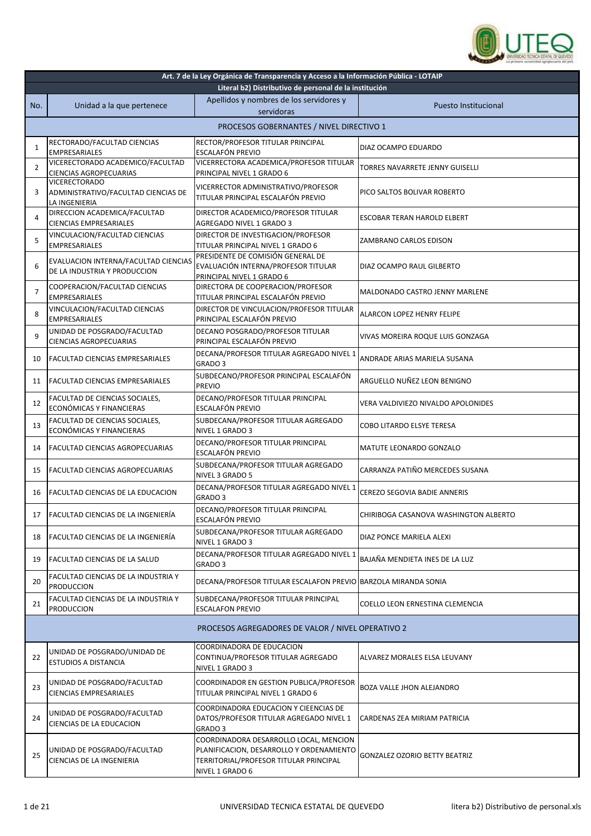

| Art. 7 de la Ley Orgánica de Transparencia y Acceso a la Información Pública - LOTAIP<br>Literal b2) Distributivo de personal de la institución |                                                                              |                                                                                                                                                 |                                       |
|-------------------------------------------------------------------------------------------------------------------------------------------------|------------------------------------------------------------------------------|-------------------------------------------------------------------------------------------------------------------------------------------------|---------------------------------------|
| No.                                                                                                                                             | Unidad a la que pertenece                                                    | Apellidos y nombres de los servidores y<br>servidoras                                                                                           | Puesto Institucional                  |
|                                                                                                                                                 | PROCESOS GOBERNANTES / NIVEL DIRECTIVO 1                                     |                                                                                                                                                 |                                       |
| 1                                                                                                                                               | RECTORADO/FACULTAD CIENCIAS<br><b>EMPRESARIALES</b>                          | RECTOR/PROFESOR TITULAR PRINCIPAL<br><b>ESCALAFÓN PREVIO</b>                                                                                    | DIAZ OCAMPO EDUARDO                   |
| 2                                                                                                                                               | VICERECTORADO ACADEMICO/FACULTAD<br>CIENCIAS AGROPECUARIAS                   | VICERRECTORA ACADEMICA/PROFESOR TITULAR<br>PRINCIPAL NIVEL 1 GRADO 6                                                                            | TORRES NAVARRETE JENNY GUISELLI       |
| 3                                                                                                                                               | <b>VICERECTORADO</b><br>ADMINISTRATIVO/FACULTAD CIENCIAS DE<br>LA INGENIERIA | VICERRECTOR ADMINISTRATIVO/PROFESOR<br>TITULAR PRINCIPAL ESCALAFÓN PREVIO                                                                       | PICO SALTOS BOLIVAR ROBERTO           |
| 4                                                                                                                                               | DIRECCION ACADEMICA/FACULTAD<br><b>CIENCIAS EMPRESARIALES</b>                | DIRECTOR ACADEMICO/PROFESOR TITULAR<br>AGREGADO NIVEL 1 GRADO 3                                                                                 | ESCOBAR TERAN HAROLD ELBERT           |
| 5                                                                                                                                               | VINCULACION/FACULTAD CIENCIAS<br><b>EMPRESARIALES</b>                        | DIRECTOR DE INVESTIGACION/PROFESOR<br>TITULAR PRINCIPAL NIVEL 1 GRADO 6                                                                         | ZAMBRANO CARLOS EDISON                |
| 6                                                                                                                                               | EVALUACION INTERNA/FACULTAD CIENCIAS<br>DE LA INDUSTRIA Y PRODUCCION         | PRESIDENTE DE COMISIÓN GENERAL DE<br>EVALUACIÓN INTERNA/PROFESOR TITULAR<br>PRINCIPAL NIVEL 1 GRADO 6                                           | DIAZ OCAMPO RAUL GILBERTO             |
| 7                                                                                                                                               | COOPERACION/FACULTAD CIENCIAS<br><b>EMPRESARIALES</b>                        | DIRECTORA DE COOPERACION/PROFESOR<br>TITULAR PRINCIPAL ESCALAFÓN PREVIO                                                                         | MALDONADO CASTRO JENNY MARLENE        |
| 8                                                                                                                                               | VINCULACION/FACULTAD CIENCIAS<br><b>EMPRESARIALES</b>                        | DIRECTOR DE VINCULACION/PROFESOR TITULAR<br>PRINCIPAL ESCALAFÓN PREVIO                                                                          | ALARCON LOPEZ HENRY FELIPE            |
| 9                                                                                                                                               | UNIDAD DE POSGRADO/FACULTAD<br><b>CIENCIAS AGROPECUARIAS</b>                 | DECANO POSGRADO/PROFESOR TITULAR<br>PRINCIPAL ESCALAFÓN PREVIO                                                                                  | VIVAS MOREIRA ROQUE LUIS GONZAGA      |
| 10                                                                                                                                              | FACULTAD CIENCIAS EMPRESARIALES                                              | DECANA/PROFESOR TITULAR AGREGADO NIVEL 1<br>GRADO <sub>3</sub>                                                                                  | ANDRADE ARIAS MARIELA SUSANA          |
| 11                                                                                                                                              | <b>FACULTAD CIENCIAS EMPRESARIALES</b>                                       | SUBDECANO/PROFESOR PRINCIPAL ESCALAFÓN<br><b>PREVIO</b>                                                                                         | ARGUELLO NUÑEZ LEON BENIGNO           |
| 12                                                                                                                                              | FACULTAD DE CIENCIAS SOCIALES,<br>ECONÓMICAS Y FINANCIERAS                   | DECANO/PROFESOR TITULAR PRINCIPAL<br>ESCALAFÓN PREVIO                                                                                           | VERA VALDIVIEZO NIVALDO APOLONIDES    |
| 13                                                                                                                                              | FACULTAD DE CIENCIAS SOCIALES,<br>ECONÓMICAS Y FINANCIERAS                   | SUBDECANA/PROFESOR TITULAR AGREGADO<br>NIVEL 1 GRADO 3                                                                                          | COBO LITARDO ELSYE TERESA             |
| 14                                                                                                                                              | FACULTAD CIENCIAS AGROPECUARIAS                                              | DECANO/PROFESOR TITULAR PRINCIPAL<br>ESCALAFÓN PREVIO                                                                                           | MATUTE LEONARDO GONZALO               |
| 15                                                                                                                                              | FACULTAD CIENCIAS AGROPECUARIAS                                              | SUBDECANA/PROFESOR TITULAR AGREGADO<br>NIVEL 3 GRADO 5                                                                                          | CARRANZA PATIÑO MERCEDES SUSANA       |
| 16                                                                                                                                              | FACULTAD CIENCIAS DE LA EDUCACION                                            | DECANA/PROFESOR TITULAR AGREGADO NIVEL 1<br>GRADO <sub>3</sub>                                                                                  | <b>CEREZO SEGOVIA BADIE ANNERIS</b>   |
| 17                                                                                                                                              | FACULTAD CIENCIAS DE LA INGENIERÍA                                           | DECANO/PROFESOR TITULAR PRINCIPAL<br>ESCALAFÓN PREVIO                                                                                           | CHIRIBOGA CASANOVA WASHINGTON ALBERTO |
| 18                                                                                                                                              | FACULTAD CIENCIAS DE LA INGENIERÍA                                           | SUBDECANA/PROFESOR TITULAR AGREGADO<br>NIVEL 1 GRADO 3                                                                                          | DIAZ PONCE MARIELA ALEXI              |
| 19                                                                                                                                              | FACULTAD CIENCIAS DE LA SALUD                                                | DECANA/PROFESOR TITULAR AGREGADO NIVEL 1<br>GRADO 3                                                                                             | BAJAÑA MENDIETA INES DE LA LUZ        |
| 20                                                                                                                                              | FACULTAD CIENCIAS DE LA INDUSTRIA Y<br><b>PRODUCCION</b>                     | DECANA/PROFESOR TITULAR ESCALAFON PREVIO BARZOLA MIRANDA SONIA                                                                                  |                                       |
| 21                                                                                                                                              | FACULTAD CIENCIAS DE LA INDUSTRIA Y<br><b>PRODUCCION</b>                     | SUBDECANA/PROFESOR TITULAR PRINCIPAL<br><b>ESCALAFON PREVIO</b>                                                                                 | COELLO LEON ERNESTINA CLEMENCIA       |
|                                                                                                                                                 |                                                                              | PROCESOS AGREGADORES DE VALOR / NIVEL OPERATIVO 2                                                                                               |                                       |
| 22                                                                                                                                              | UNIDAD DE POSGRADO/UNIDAD DE<br>ESTUDIOS A DISTANCIA                         | COORDINADORA DE EDUCACION<br>CONTINUA/PROFESOR TITULAR AGREGADO<br>NIVEL 1 GRADO 3                                                              | ALVAREZ MORALES ELSA LEUVANY          |
| 23                                                                                                                                              | UNIDAD DE POSGRADO/FACULTAD<br><b>CIENCIAS EMPRESARIALES</b>                 | COORDINADOR EN GESTION PUBLICA/PROFESOR<br>TITULAR PRINCIPAL NIVEL 1 GRADO 6                                                                    | BOZA VALLE JHON ALEJANDRO             |
| 24                                                                                                                                              | UNIDAD DE POSGRADO/FACULTAD<br>CIENCIAS DE LA EDUCACION                      | COORDINADORA EDUCACION Y CIEENCIAS DE<br>DATOS/PROFESOR TITULAR AGREGADO NIVEL 1<br>GRADO 3                                                     | CARDENAS ZEA MIRIAM PATRICIA          |
| 25                                                                                                                                              | UNIDAD DE POSGRADO/FACULTAD<br>CIENCIAS DE LA INGENIERIA                     | COORDINADORA DESARROLLO LOCAL, MENCION<br>PLANIFICACION, DESARROLLO Y ORDENAMIENTO<br>TERRITORIAL/PROFESOR TITULAR PRINCIPAL<br>NIVEL 1 GRADO 6 | <b>GONZALEZ OZORIO BETTY BEATRIZ</b>  |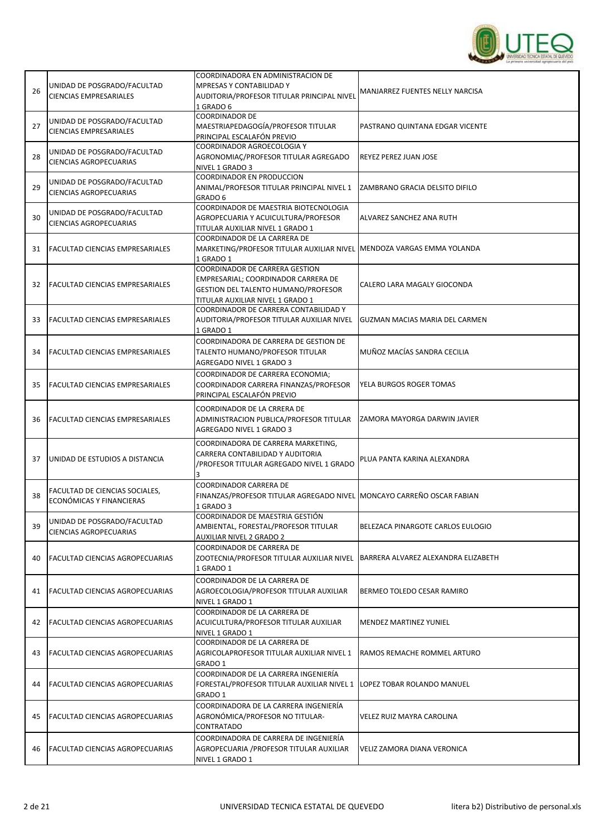

| 26 | UNIDAD DE POSGRADO/FACULTAD<br><b>CIENCIAS EMPRESARIALES</b> | COORDINADORA EN ADMINISTRACION DE<br>MPRESAS Y CONTABILIDAD Y<br>AUDITORIA/PROFESOR TITULAR PRINCIPAL NIVEL<br>1 GRADO 6                                | MANJARREZ FUENTES NELLY NARCISA     |
|----|--------------------------------------------------------------|---------------------------------------------------------------------------------------------------------------------------------------------------------|-------------------------------------|
| 27 | UNIDAD DE POSGRADO/FACULTAD<br><b>CIENCIAS EMPRESARIALES</b> | <b>COORDINADOR DE</b><br>MAESTRIAPEDAGOGÍA/PROFESOR TITULAR<br>PRINCIPAL ESCALAFÓN PREVIO                                                               | PASTRANO QUINTANA EDGAR VICENTE     |
| 28 | UNIDAD DE POSGRADO/FACULTAD<br><b>CIENCIAS AGROPECUARIAS</b> | COORDINADOR AGROECOLOGIA Y<br>AGRONOMIAÇ/PROFESOR TITULAR AGREGADO<br>NIVEL 1 GRADO 3                                                                   | REYEZ PEREZ JUAN JOSE               |
| 29 | UNIDAD DE POSGRADO/FACULTAD<br><b>CIENCIAS AGROPECUARIAS</b> | <b>COORDINADOR EN PRODUCCION</b><br>ANIMAL/PROFESOR TITULAR PRINCIPAL NIVEL 1<br>GRADO 6                                                                | IZAMBRANO GRACIA DELSITO DIFILO     |
| 30 | UNIDAD DE POSGRADO/FACULTAD<br><b>CIENCIAS AGROPECUARIAS</b> | COORDINADOR DE MAESTRIA BIOTECNOLOGIA<br>AGROPECUARIA Y ACUICULTURA/PROFESOR<br>TITULAR AUXILIAR NIVEL 1 GRADO 1                                        | ALVAREZ SANCHEZ ANA RUTH            |
| 31 | FACULTAD CIENCIAS EMPRESARIALES                              | COORDINADOR DE LA CARRERA DE<br>MARKETING/PROFESOR TITULAR AUXILIAR NIVEL MENDOZA VARGAS EMMA YOLANDA<br>1 GRADO 1                                      |                                     |
| 32 | <b>FACULTAD CIENCIAS EMPRESARIALES</b>                       | COORDINADOR DE CARRERA GESTION<br>EMPRESARIAL; COORDINADOR CARRERA DE<br><b>GESTION DEL TALENTO HUMANO/PROFESOR</b><br>TITULAR AUXILIAR NIVEL 1 GRADO 1 | CALERO LARA MAGALY GIOCONDA         |
| 33 | <b>FACULTAD CIENCIAS EMPRESARIALES</b>                       | COORDINADOR DE CARRERA CONTABILIDAD Y<br>AUDITORIA/PROFESOR TITULAR AUXILIAR NIVEL<br>1 GRADO 1                                                         | GUZMAN MACIAS MARIA DEL CARMEN      |
| 34 | <b>FACULTAD CIENCIAS EMPRESARIALES</b>                       | COORDINADORA DE CARRERA DE GESTION DE<br>TALENTO HUMANO/PROFESOR TITULAR<br>AGREGADO NIVEL 1 GRADO 3                                                    | MUÑOZ MACÍAS SANDRA CECILIA         |
| 35 | <b>FACULTAD CIENCIAS EMPRESARIALES</b>                       | COORDINADOR DE CARRERA ECONOMIA;<br>COORDINADOR CARRERA FINANZAS/PROFESOR<br>PRINCIPAL ESCALAFÓN PREVIO                                                 | YELA BURGOS ROGER TOMAS             |
| 36 | <b>FACULTAD CIENCIAS EMPRESARIALES</b>                       | COORDINADOR DE LA CRRERA DE<br>ADMINISTRACION PUBLICA/PROFESOR TITULAR<br>AGREGADO NIVEL 1 GRADO 3                                                      | ZAMORA MAYORGA DARWIN JAVIER        |
| 37 | UNIDAD DE ESTUDIOS A DISTANCIA                               | COORDINADORA DE CARRERA MARKETING,<br>CARRERA CONTABILIDAD Y AUDITORIA<br>/PROFESOR TITULAR AGREGADO NIVEL 1 GRADO<br>3                                 | PLUA PANTA KARINA ALEXANDRA         |
| 38 | FACULTAD DE CIENCIAS SOCIALES,<br>ECONÓMICAS Y FINANCIERAS   | <b>COORDINADOR CARRERA DE</b><br>FINANZAS/PROFESOR TITULAR AGREGADO NIVEL   MONCAYO CARREÑO OSCAR FABIAN<br>1 GRADO 3                                   |                                     |
| 39 | UNIDAD DE POSGRADO/FACULTAD<br>CIENCIAS AGROPECUARIAS        | COORDINADOR DE MAESTRIA GESTIÓN<br>AMBIENTAL, FORESTAL/PROFESOR TITULAR<br>AUXILIAR NIVEL 2 GRADO 2                                                     | BELEZACA PINARGOTE CARLOS EULOGIO   |
| 40 | <b>FACULTAD CIENCIAS AGROPECUARIAS</b>                       | COORDINADOR DE CARRERA DE<br>ZOOTECNIA/PROFESOR TITULAR AUXILIAR NIVEL<br>1 GRADO 1                                                                     | BARRERA ALVAREZ ALEXANDRA ELIZABETH |
| 41 | <b>FACULTAD CIENCIAS AGROPECUARIAS</b>                       | COORDINADOR DE LA CARRERA DE<br>AGROECOLOGIA/PROFESOR TITULAR AUXILIAR<br>NIVEL 1 GRADO 1                                                               | BERMEO TOLEDO CESAR RAMIRO          |
| 42 | FACULTAD CIENCIAS AGROPECUARIAS                              | COORDINADOR DE LA CARRERA DE<br>ACUICULTURA/PROFESOR TITULAR AUXILIAR<br>NIVEL 1 GRADO 1                                                                | <b>MENDEZ MARTINEZ YUNIEL</b>       |
| 43 | <b>FACULTAD CIENCIAS AGROPECUARIAS</b>                       | COORDINADOR DE LA CARRERA DE<br>AGRICOLAPROFESOR TITULAR AUXILIAR NIVEL 1<br>GRADO 1                                                                    | RAMOS REMACHE ROMMEL ARTURO         |
| 44 | <b>FACULTAD CIENCIAS AGROPECUARIAS</b>                       | COORDINADOR DE LA CARRERA INGENIERÍA<br>FORESTAL/PROFESOR TITULAR AUXILIAR NIVEL 1<br>GRADO 1                                                           | LOPEZ TOBAR ROLANDO MANUEL          |
| 45 | <b>FACULTAD CIENCIAS AGROPECUARIAS</b>                       | COORDINADORA DE LA CARRERA INGENIERÍA<br>AGRONÓMICA/PROFESOR NO TITULAR-<br>CONTRATADO                                                                  | VELEZ RUIZ MAYRA CAROLINA           |
| 46 | FACULTAD CIENCIAS AGROPECUARIAS                              | COORDINADORA DE CARRERA DE INGENIERÍA<br>AGROPECUARIA /PROFESOR TITULAR AUXILIAR<br>NIVEL 1 GRADO 1                                                     | VELIZ ZAMORA DIANA VERONICA         |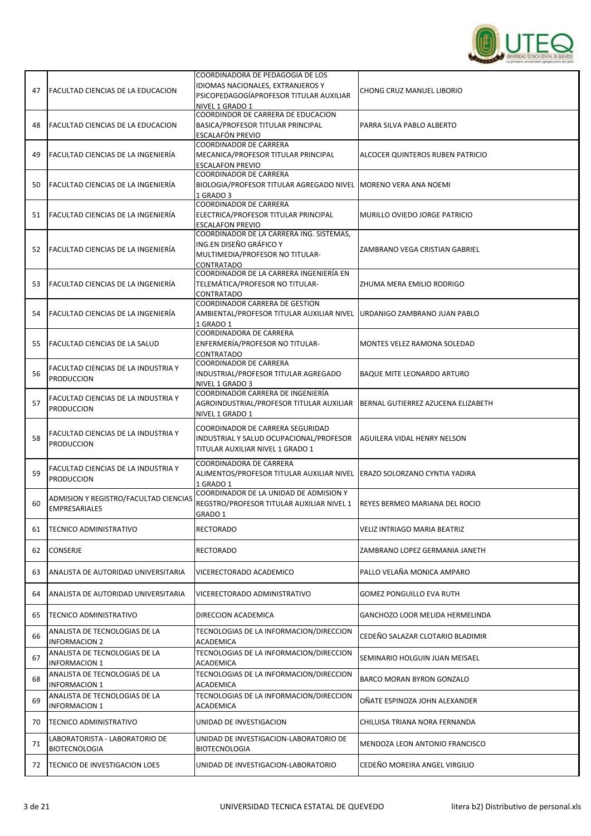

| 47 | <b>FACULTAD CIENCIAS DE LA EDUCACION</b>                      | COORDINADORA DE PEDAGOGIA DE LOS<br>IDIOMAS NACIONALES, EXTRANJEROS Y                                                |                                       |
|----|---------------------------------------------------------------|----------------------------------------------------------------------------------------------------------------------|---------------------------------------|
|    |                                                               | PSICOPEDAGOGÍAPROFESOR TITULAR AUXILIAR<br>NIVEL 1 GRADO 1                                                           | CHONG CRUZ MANUEL LIBORIO             |
| 48 | FACULTAD CIENCIAS DE LA EDUCACION                             | COORDINDOR DE CARRERA DE EDUCACION<br>BASICA/PROFESOR TITULAR PRINCIPAL                                              | PARRA SILVA PABLO ALBERTO             |
|    |                                                               | ESCALAFÓN PREVIO                                                                                                     |                                       |
| 49 | FACULTAD CIENCIAS DE LA INGENIERÍA                            | COORDINADOR DE CARRERA<br>MECANICA/PROFESOR TITULAR PRINCIPAL                                                        | ALCOCER QUINTEROS RUBEN PATRICIO      |
|    |                                                               | <b>ESCALAFON PREVIO</b><br><b>COORDINADOR DE CARRERA</b>                                                             |                                       |
| 50 | FACULTAD CIENCIAS DE LA INGENIERÍA                            | BIOLOGIA/PROFESOR TITULAR AGREGADO NIVEL   MORENO VERA ANA NOEMI<br>1 GRADO 3                                        |                                       |
| 51 | FACULTAD CIENCIAS DE LA INGENIERÍA                            | <b>COORDINADOR DE CARRERA</b><br>ELECTRICA/PROFESOR TITULAR PRINCIPAL<br><b>ESCALAFON PREVIO</b>                     | MURILLO OVIEDO JORGE PATRICIO         |
| 52 | FACULTAD CIENCIAS DE LA INGENIERÍA                            | COORDINADOR DE LA CARRERA ING. SISTEMAS,<br>ING.EN DISEÑO GRÁFICO Y<br>MULTIMEDIA/PROFESOR NO TITULAR-<br>CONTRATADO | ZAMBRANO VEGA CRISTIAN GABRIEL        |
| 53 | FACULTAD CIENCIAS DE LA INGENIERÍA                            | COORDINADOR DE LA CARRERA INGENIERÍA EN<br>TELEMÁTICA/PROFESOR NO TITULAR-<br>CONTRATADO                             | ZHUMA MERA EMILIO RODRIGO             |
| 54 | FACULTAD CIENCIAS DE LA INGENIERÍA                            | COORDINADOR CARRERA DE GESTION<br>AMBIENTAL/PROFESOR TITULAR AUXILIAR NIVEL<br>1 GRADO 1                             | URDANIGO ZAMBRANO JUAN PABLO          |
| 55 | FACULTAD CIENCIAS DE LA SALUD                                 | COORDINADORA DE CARRERA<br>ENFERMERÍA/PROFESOR NO TITULAR-<br>CONTRATADO                                             | MONTES VELEZ RAMONA SOLEDAD           |
| 56 | FACULTAD CIENCIAS DE LA INDUSTRIA Y<br><b>PRODUCCION</b>      | <b>COORDINADOR DE CARRERA</b><br>INDUSTRIAL/PROFESOR TITULAR AGREGADO<br>NIVEL 1 GRADO 3                             | <b>BAQUE MITE LEONARDO ARTURO</b>     |
| 57 | FACULTAD CIENCIAS DE LA INDUSTRIA Y<br><b>PRODUCCION</b>      | COORDINADOR CARRERA DE INGENIERÍA<br>AGROINDUSTRIAL/PROFESOR TITULAR AUXILIAR<br>NIVEL 1 GRADO 1                     | BERNAL GUTIERREZ AZUCENA ELIZABETH    |
| 58 | FACULTAD CIENCIAS DE LA INDUSTRIA Y<br><b>PRODUCCION</b>      | COORDINADOR DE CARRERA SEGURIDAD<br>INDUSTRIAL Y SALUD OCUPACIONAL/PROFESOR<br>TITULAR AUXILIAR NIVEL 1 GRADO 1      | AGUILERA VIDAL HENRY NELSON           |
| 59 | FACULTAD CIENCIAS DE LA INDUSTRIA Y<br><b>PRODUCCION</b>      | COORDINADORA DE CARRERA<br>ALIMENTOS/PROFESOR TITULAR AUXILIAR NIVEL ERAZO SOLORZANO CYNTIA YADIRA<br>1 GRADO 1      |                                       |
| 60 | ADMISION Y REGISTRO/FACULTAD CIENCIAS<br><b>EMPRESARIALES</b> | COORDINADOR DE LA UNIDAD DE ADMISION Y<br>REGSTRO/PROFESOR TITULAR AUXILIAR NIVEL 1<br>GRADO 1                       | <b>REYES BERMEO MARIANA DEL ROCIO</b> |
| 61 | TECNICO ADMINISTRATIVO                                        | RECTORADO                                                                                                            | VELIZ INTRIAGO MARIA BEATRIZ          |
| 62 | CONSERJE                                                      | RECTORADO                                                                                                            | ZAMBRANO LOPEZ GERMANIA JANETH        |
| 63 | ANALISTA DE AUTORIDAD UNIVERSITARIA                           | VICERECTORADO ACADEMICO                                                                                              | PALLO VELAÑA MONICA AMPARO            |
| 64 | ANALISTA DE AUTORIDAD UNIVERSITARIA                           | VICERECTORADO ADMINISTRATIVO                                                                                         | <b>GOMEZ PONGUILLO EVA RUTH</b>       |
| 65 | TECNICO ADMINISTRATIVO                                        | DIRECCION ACADEMICA                                                                                                  | GANCHOZO LOOR MELIDA HERMELINDA       |
| 66 | ANALISTA DE TECNOLOGIAS DE LA<br><b>INFORMACION 2</b>         | TECNOLOGIAS DE LA INFORMACION/DIRECCION<br><b>ACADEMICA</b>                                                          | CEDEÑO SALAZAR CLOTARIO BLADIMIR      |
| 67 | ANALISTA DE TECNOLOGIAS DE LA<br><b>INFORMACION 1</b>         | TECNOLOGIAS DE LA INFORMACION/DIRECCION<br>ACADEMICA                                                                 | SEMINARIO HOLGUIN JUAN MEISAEL        |
| 68 | ANALISTA DE TECNOLOGIAS DE LA<br><b>INFORMACION 1</b>         | TECNOLOGIAS DE LA INFORMACION/DIRECCION<br>ACADEMICA                                                                 | BARCO MORAN BYRON GONZALO             |
| 69 | ANALISTA DE TECNOLOGIAS DE LA<br><b>INFORMACION 1</b>         | TECNOLOGIAS DE LA INFORMACION/DIRECCION<br>ACADEMICA                                                                 | OÑATE ESPINOZA JOHN ALEXANDER         |
| 70 | TECNICO ADMINISTRATIVO                                        | UNIDAD DE INVESTIGACION                                                                                              | CHILUISA TRIANA NORA FERNANDA         |
| 71 | LABORATORISTA - LABORATORIO DE<br><b>BIOTECNOLOGIA</b>        | UNIDAD DE INVESTIGACION-LABORATORIO DE<br><b>BIOTECNOLOGIA</b>                                                       | MENDOZA LEON ANTONIO FRANCISCO        |
| 72 | TECNICO DE INVESTIGACION LOES                                 | UNIDAD DE INVESTIGACION-LABORATORIO                                                                                  | CEDEÑO MOREIRA ANGEL VIRGILIO         |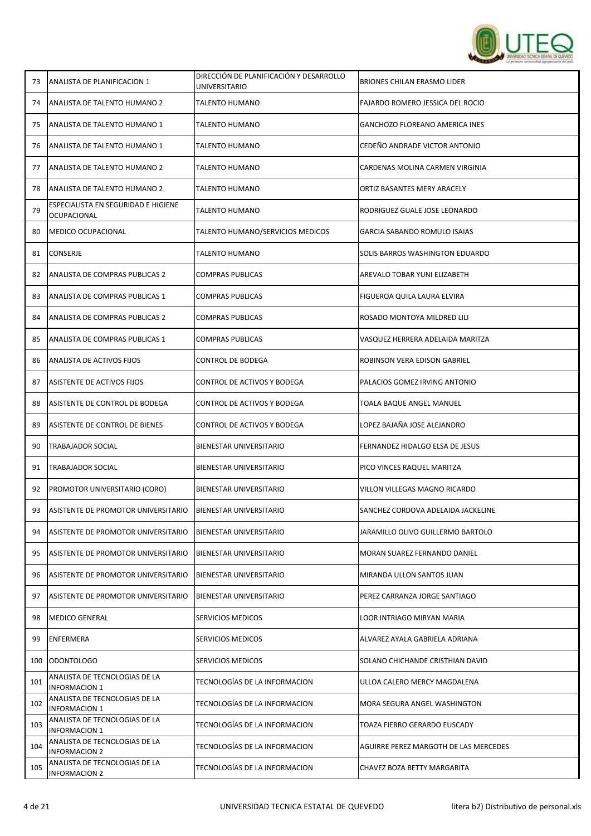

| 73  | ANALISTA DE PLANIFICACION 1                           | DIRECCIÓN DE PLANIFICACIÓN Y DESARROLLO<br>UNIVERSITARIO | <b>BRIONES CHILAN ERASMO LIDER</b>    |
|-----|-------------------------------------------------------|----------------------------------------------------------|---------------------------------------|
| 74  | ANALISTA DE TALENTO HUMANO 2                          | TALENTO HUMANO                                           | FAJARDO ROMERO JESSICA DEL ROCIO      |
| 75  | ANALISTA DE TALENTO HUMANO 1                          | TALENTO HUMANO                                           | <b>GANCHOZO FLOREANO AMERICA INES</b> |
| 76  | ANALISTA DE TALENTO HUMANO 1                          | TALENTO HUMANO                                           | CEDEÑO ANDRADE VICTOR ANTONIO         |
| 77  | ANALISTA DE TALENTO HUMANO 2                          | TALENTO HUMANO                                           | CARDENAS MOLINA CARMEN VIRGINIA       |
| 78  | ANALISTA DE TALENTO HUMANO 2                          | TALENTO HUMANO                                           | ORTIZ BASANTES MERY ARACELY           |
| 79  | ESPECIALISTA EN SEGURIDAD E HIGIENE<br>OCUPACIONAL    | TALENTO HUMANO                                           | RODRIGUEZ GUALE JOSE LEONARDO         |
| 80  | <b>MEDICO OCUPACIONAL</b>                             | TALENTO HUMANO/SERVICIOS MEDICOS                         | <b>GARCIA SABANDO ROMULO ISAIAS</b>   |
| 81  | <b>CONSERJE</b>                                       | TALENTO HUMANO                                           | SOLIS BARROS WASHINGTON EDUARDO       |
| 82  | ANALISTA DE COMPRAS PUBLICAS 2                        | COMPRAS PUBLICAS                                         | AREVALO TOBAR YUNI ELIZABETH          |
| 83  | ANALISTA DE COMPRAS PUBLICAS 1                        | COMPRAS PUBLICAS                                         | FIGUEROA QUILA LAURA ELVIRA           |
| 84  | ANALISTA DE COMPRAS PUBLICAS 2                        | COMPRAS PUBLICAS                                         | ROSADO MONTOYA MILDRED LILI           |
| 85  | ANALISTA DE COMPRAS PUBLICAS 1                        | <b>COMPRAS PUBLICAS</b>                                  | VASQUEZ HERRERA ADELAIDA MARITZA      |
| 86  | ANALISTA DE ACTIVOS FIJOS                             | CONTROL DE BODEGA                                        | ROBINSON VERA EDISON GABRIEL          |
| 87  | ASISTENTE DE ACTIVOS FIJOS                            | CONTROL DE ACTIVOS Y BODEGA                              | PALACIOS GOMEZ IRVING ANTONIO         |
| 88  | ASISTENTE DE CONTROL DE BODEGA                        | CONTROL DE ACTIVOS Y BODEGA                              | TOALA BAQUE ANGEL MANUEL              |
| 89  | ASISTENTE DE CONTROL DE BIENES                        | CONTROL DE ACTIVOS Y BODEGA                              | LOPEZ BAJAÑA JOSE ALEJANDRO           |
| 90  | <b>TRABAJADOR SOCIAL</b>                              | BIENESTAR UNIVERSITARIO                                  | FERNANDEZ HIDALGO ELSA DE JESUS       |
| 91  | TRABAJADOR SOCIAL                                     | <b>BIENESTAR UNIVERSITARIO</b>                           | PICO VINCES RAQUEL MARITZA            |
| 92  | PROMOTOR UNIVERSITARIO (CORO)                         | BIENESTAR UNIVERSITARIO                                  | VILLON VILLEGAS MAGNO RICARDO         |
| 93  | ASISTENTE DE PROMOTOR UNIVERSITARIO                   | <b>BIENESTAR UNIVERSITARIO</b>                           | SANCHEZ CORDOVA ADELAIDA JACKELINE    |
| 94  | ASISTENTE DE PROMOTOR UNIVERSITARIO                   | BIENESTAR UNIVERSITARIO                                  | JARAMILLO OLIVO GUILLERMO BARTOLO     |
| 95  | ASISTENTE DE PROMOTOR UNIVERSITARIO                   | <b>BIENESTAR UNIVERSITARIO</b>                           | MORAN SUAREZ FERNANDO DANIEL          |
| 96  | ASISTENTE DE PROMOTOR UNIVERSITARIO                   | <b>BIENESTAR UNIVERSITARIO</b>                           | MIRANDA ULLON SANTOS JUAN             |
| 97  | ASISTENTE DE PROMOTOR UNIVERSITARIO                   | BIENESTAR UNIVERSITARIO                                  | PEREZ CARRANZA JORGE SANTIAGO         |
| 98  | <b>MEDICO GENERAL</b>                                 | SERVICIOS MEDICOS                                        | LOOR INTRIAGO MIRYAN MARIA            |
| 99  | ENFERMERA                                             | SERVICIOS MEDICOS                                        | ALVAREZ AYALA GABRIELA ADRIANA        |
| 100 | ODONTOLOGO                                            | SERVICIOS MEDICOS                                        | SOLANO CHICHANDE CRISTHIAN DAVID      |
| 101 | ANALISTA DE TECNOLOGIAS DE LA<br><b>INFORMACION 1</b> | TECNOLOGÍAS DE LA INFORMACION                            | ULLOA CALERO MERCY MAGDALENA          |
| 102 | ANALISTA DE TECNOLOGIAS DE LA<br>INFORMACION 1        | TECNOLOGÍAS DE LA INFORMACION                            | MORA SEGURA ANGEL WASHINGTON          |
| 103 | ANALISTA DE TECNOLOGIAS DE LA<br><b>INFORMACION 1</b> | TECNOLOGÍAS DE LA INFORMACION                            | TOAZA FIERRO GERARDO EUSCADY          |
| 104 | ANALISTA DE TECNOLOGIAS DE LA<br><b>INFORMACION 2</b> | TECNOLOGÍAS DE LA INFORMACION                            | AGUIRRE PEREZ MARGOTH DE LAS MERCEDES |
| 105 | ANALISTA DE TECNOLOGIAS DE LA<br><b>INFORMACION 2</b> | TECNOLOGÍAS DE LA INFORMACION                            | CHAVEZ BOZA BETTY MARGARITA           |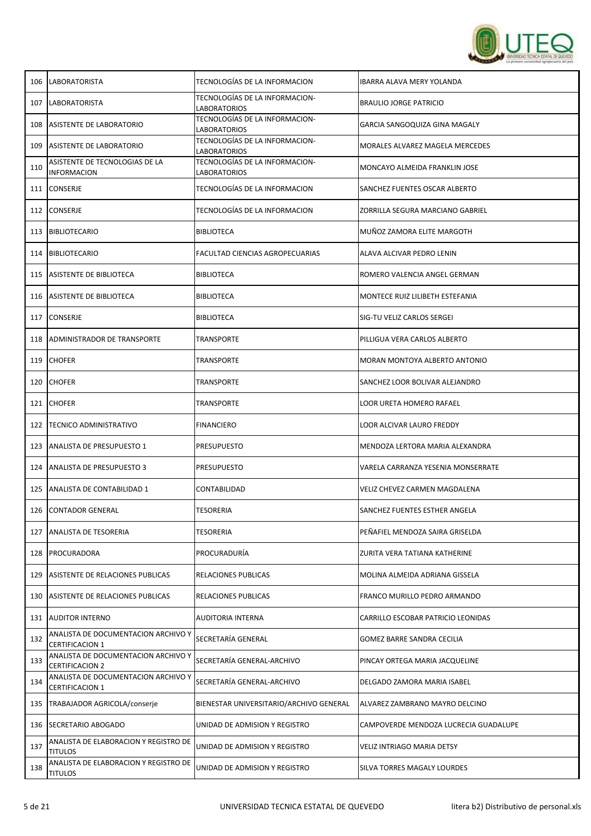

| 106 | <b>LABORATORISTA</b>                                          | TECNOLOGÍAS DE LA INFORMACION                         | <b>IBARRA ALAVA MERY YOLANDA</b>      |
|-----|---------------------------------------------------------------|-------------------------------------------------------|---------------------------------------|
| 107 | <b>LABORATORISTA</b>                                          | TECNOLOGÍAS DE LA INFORMACION-<br>LABORATORIOS        | <b>BRAULIO JORGE PATRICIO</b>         |
| 108 | <b>ASISTENTE DE LABORATORIO</b>                               | TECNOLOGÍAS DE LA INFORMACION-<br><b>LABORATORIOS</b> | GARCIA SANGOQUIZA GINA MAGALY         |
| 109 | ASISTENTE DE LABORATORIO                                      | TECNOLOGÍAS DE LA INFORMACION-<br>LABORATORIOS        | MORALES ALVAREZ MAGELA MERCEDES       |
| 110 | ASISTENTE DE TECNOLOGIAS DE LA<br><b>INFORMACION</b>          | TECNOLOGÍAS DE LA INFORMACION-<br>LABORATORIOS        | MONCAYO ALMEIDA FRANKLIN JOSE         |
| 111 | <b>CONSERJE</b>                                               | TECNOLOGÍAS DE LA INFORMACION                         | SANCHEZ FUENTES OSCAR ALBERTO         |
| 112 | <b>CONSERJE</b>                                               | TECNOLOGÍAS DE LA INFORMACION                         | ZORRILLA SEGURA MARCIANO GABRIEL      |
| 113 | BIBLIOTECARIO                                                 | <b>BIBLIOTECA</b>                                     | MUÑOZ ZAMORA ELITE MARGOTH            |
| 114 | <b>BIBLIOTECARIO</b>                                          | FACULTAD CIENCIAS AGROPECUARIAS                       | ALAVA ALCIVAR PEDRO LENIN             |
| 115 | <b>ASISTENTE DE BIBLIOTECA</b>                                | <b>BIBLIOTECA</b>                                     | ROMERO VALENCIA ANGEL GERMAN          |
| 116 | ASISTENTE DE BIBLIOTECA                                       | BIBLIOTECA                                            | MONTECE RUIZ LILIBETH ESTEFANIA       |
| 117 | CONSERJE                                                      | <b>BIBLIOTECA</b>                                     | SIG-TU VELIZ CARLOS SERGEI            |
| 118 | ADMINISTRADOR DE TRANSPORTE                                   | TRANSPORTE                                            | PILLIGUA VERA CARLOS ALBERTO          |
| 119 | <b>CHOFER</b>                                                 | TRANSPORTE                                            | MORAN MONTOYA ALBERTO ANTONIO         |
| 120 | <b>CHOFER</b>                                                 | TRANSPORTE                                            | SANCHEZ LOOR BOLIVAR ALEJANDRO        |
| 121 | <b>CHOFER</b>                                                 | TRANSPORTE                                            | LOOR URETA HOMERO RAFAEL              |
| 122 | <b>TECNICO ADMINISTRATIVO</b>                                 | <b>FINANCIERO</b>                                     | LOOR ALCIVAR LAURO FREDDY             |
| 123 | <b>ANALISTA DE PRESUPUESTO 1</b>                              | <b>PRESUPUESTO</b>                                    | MENDOZA LERTORA MARIA ALEXANDRA       |
| 124 | <b>ANALISTA DE PRESUPUESTO 3</b>                              | PRESUPUESTO                                           | VARELA CARRANZA YESENIA MONSERRATE    |
| 125 | ANALISTA DE CONTABILIDAD 1                                    | CONTABILIDAD                                          | VELIZ CHEVEZ CARMEN MAGDALENA         |
| 126 | <b>CONTADOR GENERAL</b>                                       | TESORERIA                                             | SANCHEZ FUENTES ESTHER ANGELA         |
| 127 | ANALISTA DE TESORERIA                                         | <b>TESORERIA</b>                                      | PEÑAFIEL MENDOZA SAIRA GRISELDA       |
| 128 | PROCURADORA                                                   | PROCURADURÍA                                          | ZURITA VERA TATIANA KATHERINE         |
| 129 | ASISTENTE DE RELACIONES PUBLICAS                              | RELACIONES PUBLICAS                                   | MOLINA ALMEIDA ADRIANA GISSELA        |
| 130 | ASISTENTE DE RELACIONES PUBLICAS                              | RELACIONES PUBLICAS                                   | FRANCO MURILLO PEDRO ARMANDO          |
| 131 | <b>AUDITOR INTERNO</b>                                        | <b>AUDITORIA INTERNA</b>                              | CARRILLO ESCOBAR PATRICIO LEONIDAS    |
| 132 | ANALISTA DE DOCUMENTACION ARCHIVO Y<br><b>CERTIFICACION 1</b> | SECRETARÍA GENERAL                                    | GOMEZ BARRE SANDRA CECILIA            |
| 133 | ANALISTA DE DOCUMENTACION ARCHIVO Y<br><b>CERTIFICACION 2</b> | SECRETARÍA GENERAL-ARCHIVO                            | PINCAY ORTEGA MARIA JACQUELINE        |
| 134 | ANALISTA DE DOCUMENTACION ARCHIVO Y<br><b>CERTIFICACION 1</b> | SECRETARÍA GENERAL-ARCHIVO                            | DELGADO ZAMORA MARIA ISABEL           |
| 135 | TRABAJADOR AGRICOLA/conserje                                  | BIENESTAR UNIVERSITARIO/ARCHIVO GENERAL               | ALVAREZ ZAMBRANO MAYRO DELCINO        |
| 136 | SECRETARIO ABOGADO                                            | UNIDAD DE ADMISION Y REGISTRO                         | CAMPOVERDE MENDOZA LUCRECIA GUADALUPE |
| 137 | ANALISTA DE ELABORACION Y REGISTRO DE<br><b>TITULOS</b>       | UNIDAD DE ADMISION Y REGISTRO                         | VELIZ INTRIAGO MARIA DETSY            |
| 138 | ANALISTA DE ELABORACION Y REGISTRO DE<br><b>TITULOS</b>       | UNIDAD DE ADMISION Y REGISTRO                         | SILVA TORRES MAGALY LOURDES           |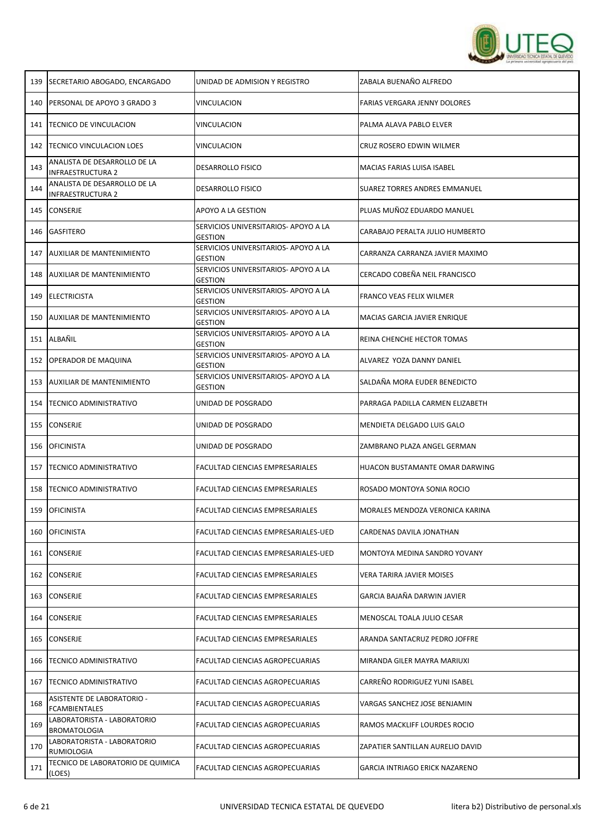

| 139 | SECRETARIO ABOGADO, ENCARGADO                            | UNIDAD DE ADMISION Y REGISTRO                          | ZABALA BUENAÑO ALFREDO                |
|-----|----------------------------------------------------------|--------------------------------------------------------|---------------------------------------|
| 140 | <b>IPERSONAL DE APOYO 3 GRADO 3</b>                      | <b>VINCULACION</b>                                     | <b>FARIAS VERGARA JENNY DOLORES</b>   |
| 141 | TECNICO DE VINCULACION                                   | VINCULACION                                            | PALMA ALAVA PABLO ELVER               |
| 142 | <b>TECNICO VINCULACION LOES</b>                          | VINCULACION                                            | CRUZ ROSERO EDWIN WILMER              |
| 143 | ANALISTA DE DESARROLLO DE LA<br><b>INFRAESTRUCTURA 2</b> | <b>DESARROLLO FISICO</b>                               | MACIAS FARIAS LUISA ISABEL            |
| 144 | ANALISTA DE DESARROLLO DE LA<br>INFRAESTRUCTURA 2        | <b>DESARROLLO FISICO</b>                               | <b>SUAREZ TORRES ANDRES EMMANUEL</b>  |
| 145 | <b>CONSERJE</b>                                          | APOYO A LA GESTION                                     | PLUAS MUÑOZ EDUARDO MANUEL            |
| 146 | <b>GASFITERO</b>                                         | SERVICIOS UNIVERSITARIOS- APOYO A LA<br><b>GESTION</b> | CARABAJO PERALTA JULIO HUMBERTO       |
| 147 | AUXILIAR DE MANTENIMIENTO                                | SERVICIOS UNIVERSITARIOS- APOYO A LA<br><b>GESTION</b> | CARRANZA CARRANZA JAVIER MAXIMO       |
|     | 148 AUXILIAR DE MANTENIMIENTO                            | SERVICIOS UNIVERSITARIOS- APOYO A LA<br><b>GESTION</b> | CERCADO COBEÑA NEIL FRANCISCO         |
| 149 | ELECTRICISTA                                             | SERVICIOS UNIVERSITARIOS- APOYO A LA<br><b>GESTION</b> | FRANCO VEAS FELIX WILMER              |
|     | 150 AUXILIAR DE MANTENIMIENTO                            | SERVICIOS UNIVERSITARIOS- APOYO A LA<br><b>GESTION</b> | MACIAS GARCIA JAVIER ENRIQUE          |
|     | 151 ALBAÑIL                                              | SERVICIOS UNIVERSITARIOS- APOYO A LA<br><b>GESTION</b> | REINA CHENCHE HECTOR TOMAS            |
|     | 152 OPERADOR DE MAQUINA                                  | SERVICIOS UNIVERSITARIOS- APOYO A LA<br><b>GESTION</b> | ALVAREZ YOZA DANNY DANIEL             |
|     | 153 AUXILIAR DE MANTENIMIENTO                            | SERVICIOS UNIVERSITARIOS- APOYO A LA<br><b>GESTION</b> | SALDAÑA MORA EUDER BENEDICTO          |
|     | 154   TECNICO ADMINISTRATIVO                             | UNIDAD DE POSGRADO                                     | PARRAGA PADILLA CARMEN ELIZABETH      |
|     | 155 CONSERJE                                             | UNIDAD DE POSGRADO                                     | MENDIETA DELGADO LUIS GALO            |
| 156 | <b>OFICINISTA</b>                                        | UNIDAD DE POSGRADO                                     | ZAMBRANO PLAZA ANGEL GERMAN           |
| 157 | <b>TECNICO ADMINISTRATIVO</b>                            | <b>FACULTAD CIENCIAS EMPRESARIALES</b>                 | HUACON BUSTAMANTE OMAR DARWING        |
| 158 | <b>TECNICO ADMINISTRATIVO</b>                            | FACULTAD CIENCIAS EMPRESARIALES                        | ROSADO MONTOYA SONIA ROCIO            |
|     | 159   OFICINISTA                                         | FACULTAD CIENCIAS EMPRESARIALES                        | MORALES MENDOZA VERONICA KARINA       |
| 160 | <b>OFICINISTA</b>                                        | FACULTAD CIENCIAS EMPRESARIALES-UED                    | CARDENAS DAVILA JONATHAN              |
|     | 161 CONSERJE                                             | FACULTAD CIENCIAS EMPRESARIALES-UED                    | MONTOYA MEDINA SANDRO YOVANY          |
|     | 162 CONSERJE                                             | FACULTAD CIENCIAS EMPRESARIALES                        | VERA TARIRA JAVIER MOISES             |
| 163 | <b>CONSERJE</b>                                          | FACULTAD CIENCIAS EMPRESARIALES                        | GARCIA BAJAÑA DARWIN JAVIER           |
| 164 | <b>CONSERJE</b>                                          | FACULTAD CIENCIAS EMPRESARIALES                        | MENOSCAL TOALA JULIO CESAR            |
| 165 | <b>CONSERJE</b>                                          | FACULTAD CIENCIAS EMPRESARIALES                        | ARANDA SANTACRUZ PEDRO JOFFRE         |
| 166 | <b>TECNICO ADMINISTRATIVO</b>                            | FACULTAD CIENCIAS AGROPECUARIAS                        | MIRANDA GILER MAYRA MARIUXI           |
| 167 | <b>TECNICO ADMINISTRATIVO</b>                            | FACULTAD CIENCIAS AGROPECUARIAS                        | CARREÑO RODRIGUEZ YUNI ISABEL         |
| 168 | ASISTENTE DE LABORATORIO -<br><b>FCAMBIENTALES</b>       | FACULTAD CIENCIAS AGROPECUARIAS                        | VARGAS SANCHEZ JOSE BENJAMIN          |
| 169 | LABORATORISTA - LABORATORIO<br><b>BROMATOLOGIA</b>       | FACULTAD CIENCIAS AGROPECUARIAS                        | RAMOS MACKLIFF LOURDES ROCIO          |
| 170 | LABORATORISTA - LABORATORIO<br>RUMIOLOGIA                | FACULTAD CIENCIAS AGROPECUARIAS                        | ZAPATIER SANTILLAN AURELIO DAVID      |
| 171 | TECNICO DE LABORATORIO DE QUIMICA<br>(LOES)              | FACULTAD CIENCIAS AGROPECUARIAS                        | <b>GARCIA INTRIAGO ERICK NAZARENO</b> |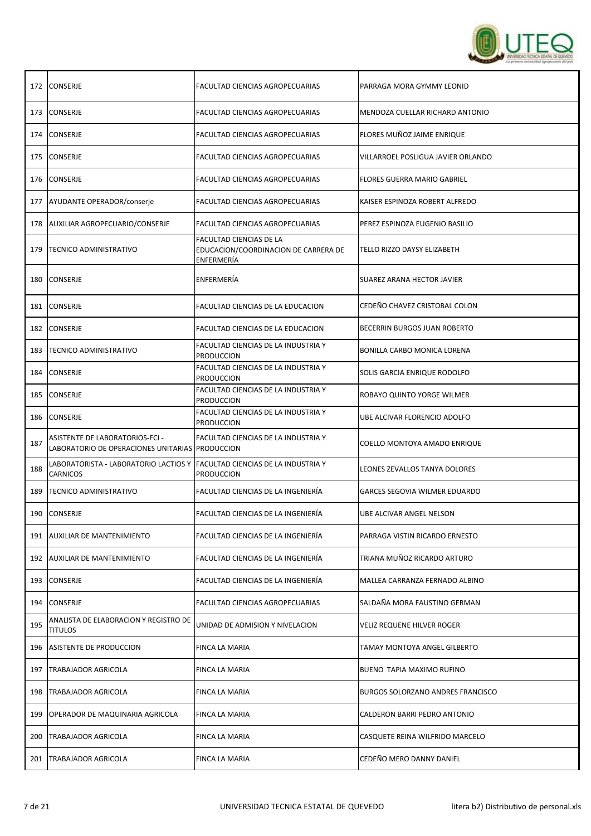

|     | 172 CONSERJE                                                                                  | FACULTAD CIENCIAS AGROPECUARIAS                                               | PARRAGA MORA GYMMY LEONID            |
|-----|-----------------------------------------------------------------------------------------------|-------------------------------------------------------------------------------|--------------------------------------|
|     | 173 CONSERJE                                                                                  | FACULTAD CIENCIAS AGROPECUARIAS                                               | MENDOZA CUELLAR RICHARD ANTONIO      |
|     | 174 CONSERJE                                                                                  | FACULTAD CIENCIAS AGROPECUARIAS                                               | FLORES MUÑOZ JAIME ENRIQUE           |
|     | 175 CONSERJE                                                                                  | FACULTAD CIENCIAS AGROPECUARIAS                                               | VILLARROEL POSLIGUA JAVIER ORLANDO   |
|     | 176 CONSERJE                                                                                  | FACULTAD CIENCIAS AGROPECUARIAS                                               | <b>FLORES GUERRA MARIO GABRIEL</b>   |
|     | 177 AYUDANTE OPERADOR/conserje                                                                | FACULTAD CIENCIAS AGROPECUARIAS                                               | KAISER ESPINOZA ROBERT ALFREDO       |
|     | 178 AUXILIAR AGROPECUARIO/CONSERJE                                                            | FACULTAD CIENCIAS AGROPECUARIAS                                               | PEREZ ESPINOZA EUGENIO BASILIO       |
|     | 179   TECNICO ADMINISTRATIVO                                                                  | FACULTAD CIENCIAS DE LA<br>EDUCACION/COORDINACION DE CARRERA DE<br>ENFERMERÍA | TELLO RIZZO DAYSY ELIZABETH          |
| 180 | <b>CONSERJE</b>                                                                               | ENFERMERÍA                                                                    | SUAREZ ARANA HECTOR JAVIER           |
| 181 | <b>CONSERJE</b>                                                                               | <b>FACULTAD CIENCIAS DE LA EDUCACION</b>                                      | CEDEÑO CHAVEZ CRISTOBAL COLON        |
| 182 | <b>CONSERJE</b>                                                                               | FACULTAD CIENCIAS DE LA EDUCACION                                             | BECERRIN BURGOS JUAN ROBERTO         |
| 183 | TECNICO ADMINISTRATIVO                                                                        | FACULTAD CIENCIAS DE LA INDUSTRIA Y<br><b>PRODUCCION</b>                      | BONILLA CARBO MONICA LORENA          |
|     | 184 CONSERJE                                                                                  | FACULTAD CIENCIAS DE LA INDUSTRIA Y<br><b>PRODUCCION</b>                      | SOLIS GARCIA ENRIQUE RODOLFO         |
| 185 | <b>CONSERJE</b>                                                                               | FACULTAD CIENCIAS DE LA INDUSTRIA Y<br><b>PRODUCCION</b>                      | ROBAYO QUINTO YORGE WILMER           |
|     | 186 CONSERJE                                                                                  | FACULTAD CIENCIAS DE LA INDUSTRIA Y<br><b>PRODUCCION</b>                      | UBE ALCIVAR FLORENCIO ADOLFO         |
| 187 | ASISTENTE DE LABORATORIOS-FCI -<br>LABORATORIO DE OPERACIONES UNITARIAS PRODUCCION            | FACULTAD CIENCIAS DE LA INDUSTRIA Y                                           | COELLO MONTOYA AMADO ENRIQUE         |
| 188 | LABORATORISTA - LABORATORIO LACTIOS Y  FACULTAD CIENCIAS DE LA INDUSTRIA Y<br><b>CARNICOS</b> | <b>PRODUCCION</b>                                                             | LEONES ZEVALLOS TANYA DOLORES        |
| 189 | <b>TECNICO ADMINISTRATIVO</b>                                                                 | FACULTAD CIENCIAS DE LA INGENIERÍA                                            | <b>GARCES SEGOVIA WILMER EDUARDO</b> |
|     | 190 CONSERJE                                                                                  | FACULTAD CIENCIAS DE LA INGENIERÍA                                            | UBE ALCIVAR ANGEL NELSON             |
|     | 191   AUXILIAR DE MANTENIMIENTO                                                               | FACULTAD CIENCIAS DE LA INGENIERÍA                                            | PARRAGA VISTIN RICARDO ERNESTO       |
|     | 192 AUXILIAR DE MANTENIMIENTO                                                                 | FACULTAD CIENCIAS DE LA INGENIERÍA                                            | TRIANA MUÑOZ RICARDO ARTURO          |
|     | 193 CONSERJE                                                                                  | FACULTAD CIENCIAS DE LA INGENIERÍA                                            | MALLEA CARRANZA FERNADO ALBINO       |
|     | 194 CONSERJE                                                                                  | FACULTAD CIENCIAS AGROPECUARIAS                                               | SALDAÑA MORA FAUSTINO GERMAN         |
| 195 | ANALISTA DE ELABORACION Y REGISTRO DE<br><b>TITULOS</b>                                       | UNIDAD DE ADMISION Y NIVELACION                                               | VELIZ REQUENE HILVER ROGER           |
|     | 196   ASISTENTE DE PRODUCCION                                                                 | FINCA LA MARIA                                                                | TAMAY MONTOYA ANGEL GILBERTO         |
| 197 | TRABAJADOR AGRICOLA                                                                           | FINCA LA MARIA                                                                | BUENO TAPIA MAXIMO RUFINO            |
| 198 | <b>TRABAJADOR AGRICOLA</b>                                                                    | FINCA LA MARIA                                                                | BURGOS SOLORZANO ANDRES FRANCISCO    |
| 199 | <b>JOPERADOR DE MAQUINARIA AGRICOLA</b>                                                       | FINCA LA MARIA                                                                | CALDERON BARRI PEDRO ANTONIO         |
| 200 | <b>TRABAJADOR AGRICOLA</b>                                                                    | FINCA LA MARIA                                                                | CASQUETE REINA WILFRIDO MARCELO      |
|     | 201   TRABAJADOR AGRICOLA                                                                     | FINCA LA MARIA                                                                | CEDEÑO MERO DANNY DANIEL             |

T

 $\mathbf{r}$ 

 $\overline{\mathsf{T}}$ 

Т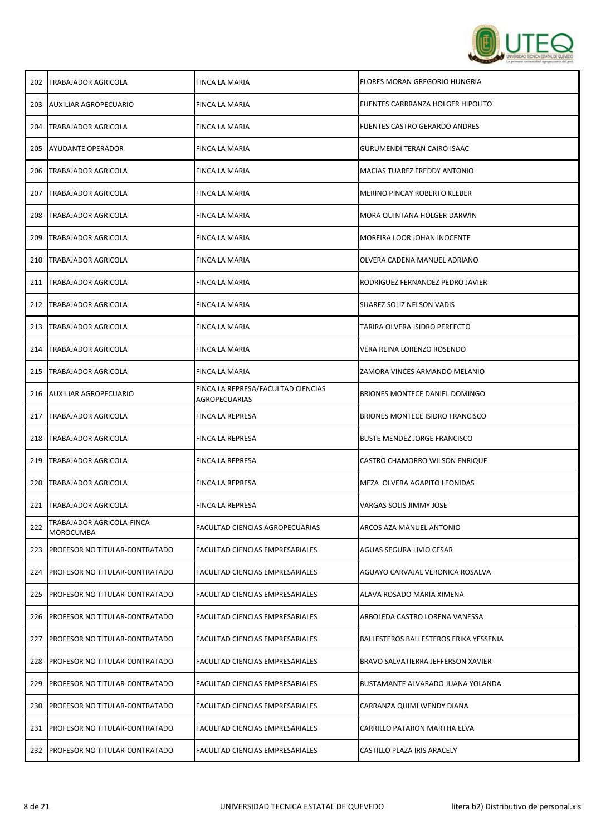

| 202 | <b>TRABAJADOR AGRICOLA</b>             | FINCA LA MARIA                                      | FLORES MORAN GREGORIO HUNGRIA          |
|-----|----------------------------------------|-----------------------------------------------------|----------------------------------------|
| 203 | AUXILIAR AGROPECUARIO                  | FINCA LA MARIA                                      | FUENTES CARRRANZA HOLGER HIPOLITO      |
| 204 | <b>TRABAJADOR AGRICOLA</b>             | FINCA LA MARIA                                      | <b>FUENTES CASTRO GERARDO ANDRES</b>   |
| 205 | <b>AYUDANTE OPERADOR</b>               | FINCA LA MARIA                                      | <b>GURUMENDI TERAN CAIRO ISAAC</b>     |
| 206 | TRABAJADOR AGRICOLA                    | FINCA LA MARIA                                      | MACIAS TUAREZ FREDDY ANTONIO           |
| 207 | <b>TRABAJADOR AGRICOLA</b>             | FINCA LA MARIA                                      | <b>MERINO PINCAY ROBERTO KLEBER</b>    |
| 208 | <b>TRABAJADOR AGRICOLA</b>             | FINCA LA MARIA                                      | MORA QUINTANA HOLGER DARWIN            |
| 209 | TRABAJADOR AGRICOLA                    | FINCA LA MARIA                                      | MOREIRA LOOR JOHAN INOCENTE            |
| 210 | <b>TRABAJADOR AGRICOLA</b>             | FINCA LA MARIA                                      | OLVERA CADENA MANUEL ADRIANO           |
|     | 211   TRABAJADOR AGRICOLA              | FINCA LA MARIA                                      | RODRIGUEZ FERNANDEZ PEDRO JAVIER       |
| 212 | <b>TRABAJADOR AGRICOLA</b>             | FINCA LA MARIA                                      | SUAREZ SOLIZ NELSON VADIS              |
| 213 | <b>TRABAJADOR AGRICOLA</b>             | FINCA LA MARIA                                      | TARIRA OLVERA ISIDRO PERFECTO          |
| 214 | TRABAJADOR AGRICOLA                    | FINCA LA MARIA                                      | VERA REINA LORENZO ROSENDO             |
| 215 | <b>TRABAJADOR AGRICOLA</b>             | FINCA LA MARIA                                      | ZAMORA VINCES ARMANDO MELANIO          |
| 216 | <b>AUXILIAR AGROPECUARIO</b>           | FINCA LA REPRESA/FACULTAD CIENCIAS<br>AGROPECUARIAS | BRIONES MONTECE DANIEL DOMINGO         |
| 217 | <b>TRABAJADOR AGRICOLA</b>             | FINCA LA REPRESA                                    | BRIONES MONTECE ISIDRO FRANCISCO       |
| 218 | <b>TRABAJADOR AGRICOLA</b>             | FINCA LA REPRESA                                    | <b>BUSTE MENDEZ JORGE FRANCISCO</b>    |
| 219 | <b>TRABAJADOR AGRICOLA</b>             | FINCA LA REPRESA                                    | CASTRO CHAMORRO WILSON ENRIQUE         |
| 220 | TRABAJADOR AGRICOLA                    | <b>FINCA LA REPRESA</b>                             | MEZA OLVERA AGAPITO LEONIDAS           |
| 221 | TRABAJADOR AGRICOLA                    | FINCA LA REPRESA                                    | VARGAS SOLIS JIMMY JOSE                |
| 222 | TRABAJADOR AGRICOLA-FINCA<br>MOROCUMBA | FACULTAD CIENCIAS AGROPECUARIAS                     | ARCOS AZA MANUEL ANTONIO               |
| 223 | <b>PROFESOR NO TITULAR-CONTRATADO</b>  | FACULTAD CIENCIAS EMPRESARIALES                     | AGUAS SEGURA LIVIO CESAR               |
| 224 | PROFESOR NO TITULAR-CONTRATADO         | FACULTAD CIENCIAS EMPRESARIALES                     | AGUAYO CARVAJAL VERONICA ROSALVA       |
| 225 | PROFESOR NO TITULAR-CONTRATADO         | FACULTAD CIENCIAS EMPRESARIALES                     | ALAVA ROSADO MARIA XIMENA              |
| 226 | PROFESOR NO TITULAR-CONTRATADO         | FACULTAD CIENCIAS EMPRESARIALES                     | ARBOLEDA CASTRO LORENA VANESSA         |
| 227 | PROFESOR NO TITULAR-CONTRATADO         | FACULTAD CIENCIAS EMPRESARIALES                     | BALLESTEROS BALLESTEROS ERIKA YESSENIA |
| 228 | PROFESOR NO TITULAR-CONTRATADO         | FACULTAD CIENCIAS EMPRESARIALES                     | BRAVO SALVATIERRA JEFFERSON XAVIER     |
| 229 | PROFESOR NO TITULAR-CONTRATADO         | FACULTAD CIENCIAS EMPRESARIALES                     | BUSTAMANTE ALVARADO JUANA YOLANDA      |
| 230 | PROFESOR NO TITULAR-CONTRATADO         | FACULTAD CIENCIAS EMPRESARIALES                     | CARRANZA QUIMI WENDY DIANA             |
| 231 | PROFESOR NO TITULAR-CONTRATADO         | FACULTAD CIENCIAS EMPRESARIALES                     | CARRILLO PATARON MARTHA ELVA           |
| 232 | PROFESOR NO TITULAR-CONTRATADO         | FACULTAD CIENCIAS EMPRESARIALES                     | CASTILLO PLAZA IRIS ARACELY            |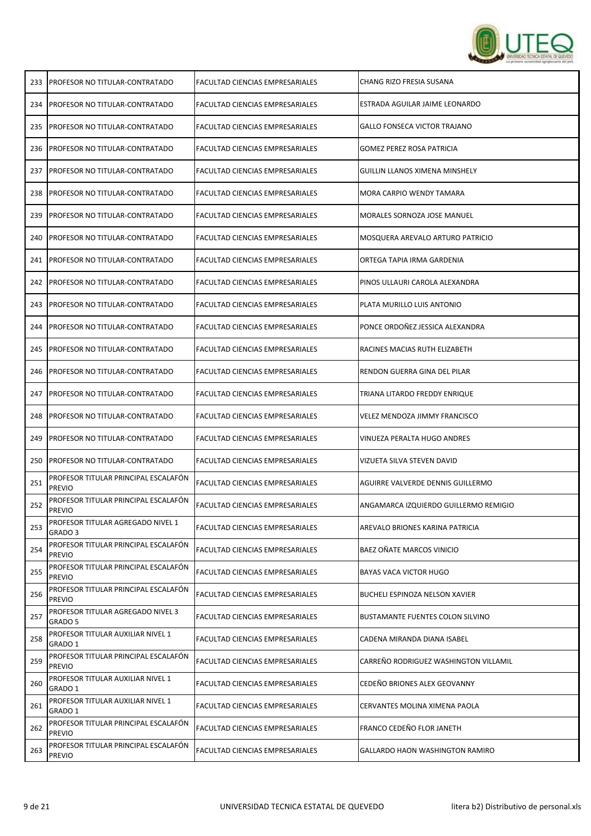

| 233 | <b>PROFESOR NO TITULAR-CONTRATADO</b>                 | <b>FACULTAD CIENCIAS EMPRESARIALES</b> | CHANG RIZO FRESIA SUSANA              |
|-----|-------------------------------------------------------|----------------------------------------|---------------------------------------|
| 234 | <b>PROFESOR NO TITULAR-CONTRATADO</b>                 | FACULTAD CIENCIAS EMPRESARIALES        | ESTRADA AGUILAR JAIME LEONARDO        |
| 235 | <b>PROFESOR NO TITULAR-CONTRATADO</b>                 | FACULTAD CIENCIAS EMPRESARIALES        | <b>GALLO FONSECA VICTOR TRAJANO</b>   |
| 236 | PROFESOR NO TITULAR-CONTRATADO                        | FACULTAD CIENCIAS EMPRESARIALES        | <b>GOMEZ PEREZ ROSA PATRICIA</b>      |
| 237 | PROFESOR NO TITULAR-CONTRATADO                        | FACULTAD CIENCIAS EMPRESARIALES        | GUILLIN LLANOS XIMENA MINSHELY        |
| 238 | PROFESOR NO TITULAR-CONTRATADO                        | FACULTAD CIENCIAS EMPRESARIALES        | MORA CARPIO WENDY TAMARA              |
| 239 | PROFESOR NO TITULAR-CONTRATADO                        | FACULTAD CIENCIAS EMPRESARIALES        | MORALES SORNOZA JOSE MANUEL           |
| 240 | PROFESOR NO TITULAR-CONTRATADO                        | FACULTAD CIENCIAS EMPRESARIALES        | MOSQUERA AREVALO ARTURO PATRICIO      |
| 241 | PROFESOR NO TITULAR-CONTRATADO                        | FACULTAD CIENCIAS EMPRESARIALES        | ORTEGA TAPIA IRMA GARDENIA            |
| 242 | <b>PROFESOR NO TITULAR-CONTRATADO</b>                 | FACULTAD CIENCIAS EMPRESARIALES        | PINOS ULLAURI CAROLA ALEXANDRA        |
| 243 | PROFESOR NO TITULAR-CONTRATADO                        | FACULTAD CIENCIAS EMPRESARIALES        | PLATA MURILLO LUIS ANTONIO            |
| 244 | PROFESOR NO TITULAR-CONTRATADO                        | FACULTAD CIENCIAS EMPRESARIALES        | PONCE ORDOÑEZ JESSICA ALEXANDRA       |
| 245 | PROFESOR NO TITULAR-CONTRATADO                        | FACULTAD CIENCIAS EMPRESARIALES        | RACINES MACIAS RUTH ELIZABETH         |
| 246 | PROFESOR NO TITULAR-CONTRATADO                        | FACULTAD CIENCIAS EMPRESARIALES        | RENDON GUERRA GINA DEL PILAR          |
| 247 | PROFESOR NO TITULAR-CONTRATADO                        | FACULTAD CIENCIAS EMPRESARIALES        | TRIANA LITARDO FREDDY ENRIQUE         |
| 248 | PROFESOR NO TITULAR-CONTRATADO                        | FACULTAD CIENCIAS EMPRESARIALES        | <b>VELEZ MENDOZA JIMMY FRANCISCO</b>  |
| 249 | PROFESOR NO TITULAR-CONTRATADO                        | FACULTAD CIENCIAS EMPRESARIALES        | VINUEZA PERALTA HUGO ANDRES           |
| 250 | <b>IPROFESOR NO TITULAR-CONTRATADO</b>                | <b>FACULTAD CIENCIAS EMPRESARIALES</b> | VIZUETA SILVA STEVEN DAVID            |
| 251 | PROFESOR TITULAR PRINCIPAL ESCALAFÓN<br><b>PREVIO</b> | <b>FACULTAD CIENCIAS EMPRESARIALES</b> | AGUIRRE VALVERDE DENNIS GUILLERMO     |
| 252 | PROFESOR TITULAR PRINCIPAL ESCALAFÓN<br><b>PREVIO</b> | <b>FACULTAD CIENCIAS EMPRESARIALES</b> | ANGAMARCA IZQUIERDO GUILLERMO REMIGIO |
| 253 | PROFESOR TITULAR AGREGADO NIVEL 1<br>GRADO 3          | FACULTAD CIENCIAS EMPRESARIALES        | AREVALO BRIONES KARINA PATRICIA       |
| 254 | PROFESOR TITULAR PRINCIPAL ESCALAFÓN<br><b>PREVIO</b> | FACULTAD CIENCIAS EMPRESARIALES        | <b>BAEZ OÑATE MARCOS VINICIO</b>      |
| 255 | PROFESOR TITULAR PRINCIPAL ESCALAFÓN<br><b>PREVIO</b> | FACULTAD CIENCIAS EMPRESARIALES        | <b>BAYAS VACA VICTOR HUGO</b>         |
| 256 | PROFESOR TITULAR PRINCIPAL ESCALAFÓN<br><b>PREVIO</b> | <b>FACULTAD CIENCIAS EMPRESARIALES</b> | BUCHELI ESPINOZA NELSON XAVIER        |
| 257 | PROFESOR TITULAR AGREGADO NIVEL 3<br>GRADO 5          | FACULTAD CIENCIAS EMPRESARIALES        | BUSTAMANTE FUENTES COLON SILVINO      |
| 258 | PROFESOR TITULAR AUXILIAR NIVEL 1<br>GRADO 1          | FACULTAD CIENCIAS EMPRESARIALES        | CADENA MIRANDA DIANA ISABEL           |
| 259 | PROFESOR TITULAR PRINCIPAL ESCALAFÓN<br><b>PREVIO</b> | FACULTAD CIENCIAS EMPRESARIALES        | CARREÑO RODRIGUEZ WASHINGTON VILLAMIL |
| 260 | PROFESOR TITULAR AUXILIAR NIVEL 1<br>GRADO 1          | FACULTAD CIENCIAS EMPRESARIALES        | CEDEÑO BRIONES ALEX GEOVANNY          |
| 261 | PROFESOR TITULAR AUXILIAR NIVEL 1<br>GRADO 1          | FACULTAD CIENCIAS EMPRESARIALES        | CERVANTES MOLINA XIMENA PAOLA         |
| 262 | PROFESOR TITULAR PRINCIPAL ESCALAFÓN<br><b>PREVIO</b> | FACULTAD CIENCIAS EMPRESARIALES        | FRANCO CEDEÑO FLOR JANETH             |
| 263 | PROFESOR TITULAR PRINCIPAL ESCALAFÓN<br>PREVIO        | FACULTAD CIENCIAS EMPRESARIALES        | GALLARDO HAON WASHINGTON RAMIRO       |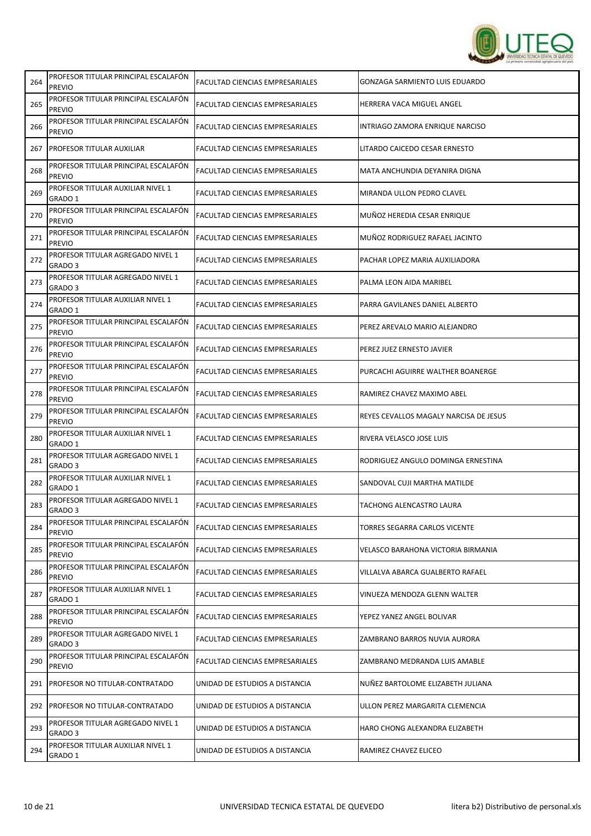

| PROFESOR TITULAR PRINCIPAL ESCALAFÓN<br><b>PREVIO</b> | FACULTAD CIENCIAS EMPRESARIALES        | <b>GONZAGA SARMIENTO LUIS EDUARDO</b>  |
|-------------------------------------------------------|----------------------------------------|----------------------------------------|
| PROFESOR TITULAR PRINCIPAL ESCALAFÓN<br><b>PREVIO</b> | FACULTAD CIENCIAS EMPRESARIALES        | HERRERA VACA MIGUEL ANGEL              |
| PROFESOR TITULAR PRINCIPAL ESCALAFÓN<br><b>PREVIO</b> | FACULTAD CIENCIAS EMPRESARIALES        | INTRIAGO ZAMORA ENRIQUE NARCISO        |
| PROFESOR TITULAR AUXILIAR                             | FACULTAD CIENCIAS EMPRESARIALES        | LITARDO CAICEDO CESAR ERNESTO          |
| PROFESOR TITULAR PRINCIPAL ESCALAFÓN<br><b>PREVIO</b> | FACULTAD CIENCIAS EMPRESARIALES        | MATA ANCHUNDIA DEYANIRA DIGNA          |
| PROFESOR TITULAR AUXILIAR NIVEL 1<br>GRADO 1          | FACULTAD CIENCIAS EMPRESARIALES        | MIRANDA ULLON PEDRO CLAVEL             |
| PROFESOR TITULAR PRINCIPAL ESCALAFÓN<br><b>PREVIO</b> | FACULTAD CIENCIAS EMPRESARIALES        | MUÑOZ HEREDIA CESAR ENRIQUE            |
| PROFESOR TITULAR PRINCIPAL ESCALAFÓN<br><b>PREVIO</b> | FACULTAD CIENCIAS EMPRESARIALES        | MUÑOZ RODRIGUEZ RAFAEL JACINTO         |
| PROFESOR TITULAR AGREGADO NIVEL 1<br>GRADO 3          | FACULTAD CIENCIAS EMPRESARIALES        | PACHAR LOPEZ MARIA AUXILIADORA         |
| PROFESOR TITULAR AGREGADO NIVEL 1<br>GRADO 3          | FACULTAD CIENCIAS EMPRESARIALES        | PALMA LEON AIDA MARIBEL                |
| PROFESOR TITULAR AUXILIAR NIVEL 1<br>GRADO 1          | FACULTAD CIENCIAS EMPRESARIALES        | PARRA GAVILANES DANIEL ALBERTO         |
| PROFESOR TITULAR PRINCIPAL ESCALAFÓN<br><b>PREVIO</b> | FACULTAD CIENCIAS EMPRESARIALES        | PEREZ AREVALO MARIO ALEJANDRO          |
| PROFESOR TITULAR PRINCIPAL ESCALAFÓN<br><b>PREVIO</b> | FACULTAD CIENCIAS EMPRESARIALES        | PEREZ JUEZ ERNESTO JAVIER              |
| PROFESOR TITULAR PRINCIPAL ESCALAFÓN<br><b>PREVIO</b> | FACULTAD CIENCIAS EMPRESARIALES        | PURCACHI AGUIRRE WALTHER BOANERGE      |
| PROFESOR TITULAR PRINCIPAL ESCALAFÓN<br><b>PREVIO</b> | FACULTAD CIENCIAS EMPRESARIALES        | RAMIREZ CHAVEZ MAXIMO ABEL             |
| PROFESOR TITULAR PRINCIPAL ESCALAFÓN<br><b>PREVIO</b> | FACULTAD CIENCIAS EMPRESARIALES        | REYES CEVALLOS MAGALY NARCISA DE JESUS |
| PROFESOR TITULAR AUXILIAR NIVEL 1<br>GRADO 1          | FACULTAD CIENCIAS EMPRESARIALES        | RIVERA VELASCO JOSE LUIS               |
| PROFESOR TITULAR AGREGADO NIVEL 1<br>GRADO 3          | FACULTAD CIENCIAS EMPRESARIALES        | RODRIGUEZ ANGULO DOMINGA ERNESTINA     |
| PROFESOR TITULAR AUXILIAR NIVEL 1<br>GRADO 1          | FACULTAD CIENCIAS EMPRESARIALES        | SANDOVAL CUJI MARTHA MATILDE           |
| PROFESOR TITULAR AGREGADO NIVEL 1<br>GRADO 3          | FACULTAD CIENCIAS EMPRESARIALES        | TACHONG ALENCASTRO LAURA               |
| PROFESOR TITULAR PRINCIPAL ESCALAFÓN<br><b>PREVIO</b> | FACULTAD CIENCIAS EMPRESARIALES        | TORRES SEGARRA CARLOS VICENTE          |
| PROFESOR TITULAR PRINCIPAL ESCALAFÓN<br><b>PREVIO</b> | FACULTAD CIENCIAS EMPRESARIALES        | VELASCO BARAHONA VICTORIA BIRMANIA     |
| PROFESOR TITULAR PRINCIPAL ESCALAFÓN<br><b>PREVIO</b> | FACULTAD CIENCIAS EMPRESARIALES        | VILLALVA ABARCA GUALBERTO RAFAEL       |
| PROFESOR TITULAR AUXILIAR NIVEL 1<br>GRADO 1          | FACULTAD CIENCIAS EMPRESARIALES        | VINUEZA MENDOZA GLENN WALTER           |
| PROFESOR TITULAR PRINCIPAL ESCALAFÓN<br><b>PREVIO</b> | FACULTAD CIENCIAS EMPRESARIALES        | YEPEZ YANEZ ANGEL BOLIVAR              |
| PROFESOR TITULAR AGREGADO NIVEL 1<br>GRADO 3          | FACULTAD CIENCIAS EMPRESARIALES        | ZAMBRANO BARROS NUVIA AURORA           |
| PROFESOR TITULAR PRINCIPAL ESCALAFÓN<br><b>PREVIO</b> | <b>FACULTAD CIENCIAS EMPRESARIALES</b> | ZAMBRANO MEDRANDA LUIS AMABLE          |
| PROFESOR NO TITULAR-CONTRATADO                        | UNIDAD DE ESTUDIOS A DISTANCIA         | NUÑEZ BARTOLOME ELIZABETH JULIANA      |
|                                                       | UNIDAD DE ESTUDIOS A DISTANCIA         | ULLON PEREZ MARGARITA CLEMENCIA        |
| PROFESOR TITULAR AGREGADO NIVEL 1<br>GRADO 3          | UNIDAD DE ESTUDIOS A DISTANCIA         | HARO CHONG ALEXANDRA ELIZABETH         |
| PROFESOR TITULAR AUXILIAR NIVEL 1<br>GRADO 1          | UNIDAD DE ESTUDIOS A DISTANCIA         | RAMIREZ CHAVEZ ELICEO                  |
|                                                       | <b>PROFESOR NO TITULAR-CONTRATADO</b>  |                                        |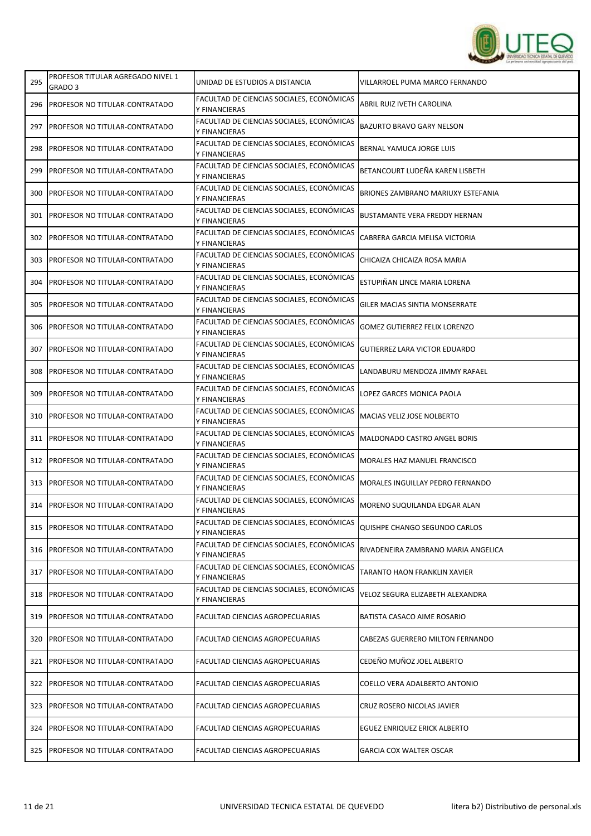

| 295 | PROFESOR TITULAR AGREGADO NIVEL 1<br>GRADO 3 | UNIDAD DE ESTUDIOS A DISTANCIA                             | VILLARROEL PUMA MARCO FERNANDO        |
|-----|----------------------------------------------|------------------------------------------------------------|---------------------------------------|
| 296 | <b>PROFESOR NO TITULAR-CONTRATADO</b>        | FACULTAD DE CIENCIAS SOCIALES, ECONÓMICAS<br>Y FINANCIERAS | ABRIL RUIZ IVETH CAROLINA             |
| 297 | <b>IPROFESOR NO TITULAR-CONTRATADO</b>       | FACULTAD DE CIENCIAS SOCIALES, ECONÓMICAS<br>Y FINANCIERAS | <b>BAZURTO BRAVO GARY NELSON</b>      |
| 298 | PROFESOR NO TITULAR-CONTRATADO               | FACULTAD DE CIENCIAS SOCIALES, ECONÓMICAS<br>Y FINANCIERAS | BERNAL YAMUCA JORGE LUIS              |
| 299 | PROFESOR NO TITULAR-CONTRATADO               | FACULTAD DE CIENCIAS SOCIALES, ECONÓMICAS<br>Y FINANCIERAS | BETANCOURT LUDEÑA KAREN LISBETH       |
| 300 | PROFESOR NO TITULAR-CONTRATADO               | FACULTAD DE CIENCIAS SOCIALES, ECONÓMICAS<br>Y FINANCIERAS | BRIONES ZAMBRANO MARIUXY ESTEFANIA    |
| 301 | PROFESOR NO TITULAR-CONTRATADO               | FACULTAD DE CIENCIAS SOCIALES, ECONÓMICAS<br>Y FINANCIERAS | <b>BUSTAMANTE VERA FREDDY HERNAN</b>  |
| 302 | PROFESOR NO TITULAR-CONTRATADO               | FACULTAD DE CIENCIAS SOCIALES, ECONÓMICAS<br>Y FINANCIERAS | CABRERA GARCIA MELISA VICTORIA        |
| 303 | PROFESOR NO TITULAR-CONTRATADO               | FACULTAD DE CIENCIAS SOCIALES, ECONÓMICAS<br>Y FINANCIERAS | CHICAIZA CHICAIZA ROSA MARIA          |
| 304 | <b>PROFESOR NO TITULAR-CONTRATADO</b>        | FACULTAD DE CIENCIAS SOCIALES, ECONÓMICAS<br>Y FINANCIERAS | ESTUPIÑAN LINCE MARIA LORENA          |
| 305 | <b>PROFESOR NO TITULAR-CONTRATADO</b>        | FACULTAD DE CIENCIAS SOCIALES, ECONÓMICAS<br>Y FINANCIERAS | <b>GILER MACIAS SINTIA MONSERRATE</b> |
| 306 | PROFESOR NO TITULAR-CONTRATADO               | FACULTAD DE CIENCIAS SOCIALES, ECONÓMICAS<br>Y FINANCIERAS | <b>GOMEZ GUTIERREZ FELIX LORENZO</b>  |
| 307 | PROFESOR NO TITULAR-CONTRATADO               | FACULTAD DE CIENCIAS SOCIALES, ECONÓMICAS<br>Y FINANCIERAS | <b>GUTIERREZ LARA VICTOR EDUARDO</b>  |
| 308 | PROFESOR NO TITULAR-CONTRATADO               | FACULTAD DE CIENCIAS SOCIALES, ECONÓMICAS<br>Y FINANCIERAS | LANDABURU MENDOZA JIMMY RAFAEL        |
| 309 | PROFESOR NO TITULAR-CONTRATADO               | FACULTAD DE CIENCIAS SOCIALES, ECONÓMICAS<br>Y FINANCIERAS | LOPEZ GARCES MONICA PAOLA             |
| 310 | PROFESOR NO TITULAR-CONTRATADO               | FACULTAD DE CIENCIAS SOCIALES, ECONÓMICAS<br>Y FINANCIERAS | MACIAS VELIZ JOSE NOLBERTO            |
| 311 | PROFESOR NO TITULAR-CONTRATADO               | FACULTAD DE CIENCIAS SOCIALES, ECONÓMICAS<br>Y FINANCIERAS | MALDONADO CASTRO ANGEL BORIS          |
| 312 | <b>PROFESOR NO TITULAR-CONTRATADO</b>        | FACULTAD DE CIENCIAS SOCIALES, ECONÓMICAS<br>Y FINANCIERAS | <b>MORALES HAZ MANUEL FRANCISCO</b>   |
| 313 | <b>PROFESOR NO TITULAR-CONTRATADO</b>        | FACULTAD DE CIENCIAS SOCIALES, ECONÓMICAS<br>Y FINANCIERAS | MORALES INGUILLAY PEDRO FERNANDO      |
| 314 | PROFESOR NO TITULAR-CONTRATADO               | FACULTAD DE CIENCIAS SOCIALES, ECONÓMICAS<br>Y FINANCIERAS | MORENO SUQUILANDA EDGAR ALAN          |
| 315 | <b>PROFESOR NO TITULAR-CONTRATADO</b>        | FACULTAD DE CIENCIAS SOCIALES, ECONÓMICAS<br>Y FINANCIERAS | QUISHPE CHANGO SEGUNDO CARLOS         |
| 316 | <b>PROFESOR NO TITULAR-CONTRATADO</b>        | FACULTAD DE CIENCIAS SOCIALES, ECONÓMICAS<br>Y FINANCIERAS | RIVADENEIRA ZAMBRANO MARIA ANGELICA   |
| 317 | <b>PROFESOR NO TITULAR-CONTRATADO</b>        | FACULTAD DE CIENCIAS SOCIALES, ECONÓMICAS<br>Y FINANCIERAS | TARANTO HAON FRANKLIN XAVIER          |
| 318 | PROFESOR NO TITULAR-CONTRATADO               | FACULTAD DE CIENCIAS SOCIALES, ECONÓMICAS<br>Y FINANCIERAS | VELOZ SEGURA ELIZABETH ALEXANDRA      |
| 319 | PROFESOR NO TITULAR-CONTRATADO               | FACULTAD CIENCIAS AGROPECUARIAS                            | BATISTA CASACO AIME ROSARIO           |
| 320 | PROFESOR NO TITULAR-CONTRATADO               | FACULTAD CIENCIAS AGROPECUARIAS                            | CABEZAS GUERRERO MILTON FERNANDO      |
| 321 | PROFESOR NO TITULAR-CONTRATADO               | FACULTAD CIENCIAS AGROPECUARIAS                            | CEDEÑO MUÑOZ JOEL ALBERTO             |
| 322 | PROFESOR NO TITULAR-CONTRATADO               | FACULTAD CIENCIAS AGROPECUARIAS                            | COELLO VERA ADALBERTO ANTONIO         |
| 323 | PROFESOR NO TITULAR-CONTRATADO               | FACULTAD CIENCIAS AGROPECUARIAS                            | CRUZ ROSERO NICOLAS JAVIER            |
| 324 | PROFESOR NO TITULAR-CONTRATADO               | FACULTAD CIENCIAS AGROPECUARIAS                            | EGUEZ ENRIQUEZ ERICK ALBERTO          |
| 325 | PROFESOR NO TITULAR-CONTRATADO               | FACULTAD CIENCIAS AGROPECUARIAS                            | <b>GARCIA COX WALTER OSCAR</b>        |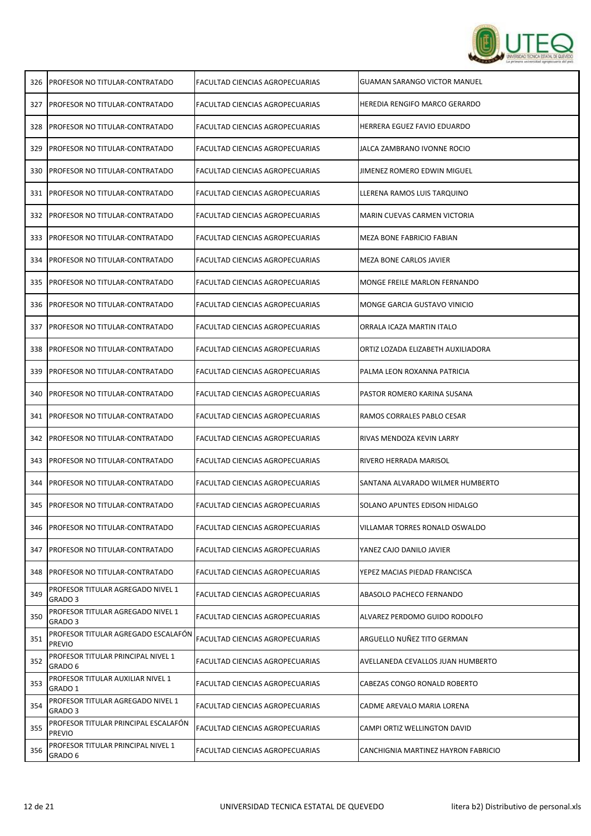

| 326 | <b>PROFESOR NO TITULAR-CONTRATADO</b>                   | FACULTAD CIENCIAS AGROPECUARIAS        | <b>GUAMAN SARANGO VICTOR MANUEL</b> |
|-----|---------------------------------------------------------|----------------------------------------|-------------------------------------|
| 327 | <b>IPROFESOR NO TITULAR-CONTRATADO</b>                  | FACULTAD CIENCIAS AGROPECUARIAS        | HEREDIA RENGIFO MARCO GERARDO       |
| 328 | PROFESOR NO TITULAR-CONTRATADO                          | FACULTAD CIENCIAS AGROPECUARIAS        | HERRERA EGUEZ FAVIO EDUARDO         |
| 329 | PROFESOR NO TITULAR-CONTRATADO                          | FACULTAD CIENCIAS AGROPECUARIAS        | JALCA ZAMBRANO IVONNE ROCIO         |
| 330 | PROFESOR NO TITULAR-CONTRATADO                          | FACULTAD CIENCIAS AGROPECUARIAS        | JIMENEZ ROMERO EDWIN MIGUEL         |
| 331 | <b>PROFESOR NO TITULAR-CONTRATADO</b>                   | FACULTAD CIENCIAS AGROPECUARIAS        | LLERENA RAMOS LUIS TARQUINO         |
| 332 | PROFESOR NO TITULAR-CONTRATADO                          | FACULTAD CIENCIAS AGROPECUARIAS        | MARIN CUEVAS CARMEN VICTORIA        |
| 333 | PROFESOR NO TITULAR-CONTRATADO                          | FACULTAD CIENCIAS AGROPECUARIAS        | MEZA BONE FABRICIO FABIAN           |
| 334 | PROFESOR NO TITULAR-CONTRATADO                          | FACULTAD CIENCIAS AGROPECUARIAS        | MEZA BONE CARLOS JAVIER             |
| 335 | <b>IPROFESOR NO TITULAR-CONTRATADO</b>                  | FACULTAD CIENCIAS AGROPECUARIAS        | MONGE FREILE MARLON FERNANDO        |
| 336 | PROFESOR NO TITULAR-CONTRATADO                          | FACULTAD CIENCIAS AGROPECUARIAS        | MONGE GARCIA GUSTAVO VINICIO        |
| 337 | PROFESOR NO TITULAR-CONTRATADO                          | <b>FACULTAD CIENCIAS AGROPECUARIAS</b> | ORRALA ICAZA MARTIN ITALO           |
| 338 | PROFESOR NO TITULAR-CONTRATADO                          | FACULTAD CIENCIAS AGROPECUARIAS        | ORTIZ LOZADA ELIZABETH AUXILIADORA  |
| 339 | PROFESOR NO TITULAR-CONTRATADO                          | FACULTAD CIENCIAS AGROPECUARIAS        | PALMA LEON ROXANNA PATRICIA         |
| 340 | PROFESOR NO TITULAR-CONTRATADO                          | FACULTAD CIENCIAS AGROPECUARIAS        | PASTOR ROMERO KARINA SUSANA         |
| 341 | PROFESOR NO TITULAR-CONTRATADO                          | FACULTAD CIENCIAS AGROPECUARIAS        | RAMOS CORRALES PABLO CESAR          |
| 342 | PROFESOR NO TITULAR-CONTRATADO                          | FACULTAD CIENCIAS AGROPECUARIAS        | RIVAS MENDOZA KEVIN LARRY           |
| 343 | <b>PROFESOR NO TITULAR-CONTRATADO</b>                   | FACULTAD CIENCIAS AGROPECUARIAS        | RIVERO HERRADA MARISOL              |
| 344 | PROFESOR NO TITULAR-CONTRATADO                          | FACULTAD CIENCIAS AGROPECUARIAS        | SANTANA ALVARADO WILMER HUMBERTO    |
| 345 | PROFESOR NO TITULAR-CONTRATADO                          | FACULTAD CIENCIAS AGROPECUARIAS        | SOLANO APUNTES EDISON HIDALGO       |
| 346 | <b>PROFESOR NO TITULAR-CONTRATADO</b>                   | FACULTAD CIENCIAS AGROPECUARIAS        | VILLAMAR TORRES RONALD OSWALDO      |
| 347 | <b>PROFESOR NO TITULAR-CONTRATADO</b>                   | FACULTAD CIENCIAS AGROPECUARIAS        | YANEZ CAJO DANILO JAVIER            |
| 348 | PROFESOR NO TITULAR-CONTRATADO                          | FACULTAD CIENCIAS AGROPECUARIAS        | YEPEZ MACIAS PIEDAD FRANCISCA       |
| 349 | PROFESOR TITULAR AGREGADO NIVEL 1<br>GRADO <sub>3</sub> | FACULTAD CIENCIAS AGROPECUARIAS        | ABASOLO PACHECO FERNANDO            |
| 350 | PROFESOR TITULAR AGREGADO NIVEL 1<br>GRADO 3            | FACULTAD CIENCIAS AGROPECUARIAS        | ALVAREZ PERDOMO GUIDO RODOLFO       |
| 351 | PROFESOR TITULAR AGREGADO ESCALAFÓN<br><b>PREVIO</b>    | FACULTAD CIENCIAS AGROPECUARIAS        | ARGUELLO NUÑEZ TITO GERMAN          |
| 352 | PROFESOR TITULAR PRINCIPAL NIVEL 1<br>GRADO 6           | FACULTAD CIENCIAS AGROPECUARIAS        | AVELLANEDA CEVALLOS JUAN HUMBERTO   |
| 353 | PROFESOR TITULAR AUXILIAR NIVEL 1<br>GRADO 1            | FACULTAD CIENCIAS AGROPECUARIAS        | CABEZAS CONGO RONALD ROBERTO        |
| 354 | PROFESOR TITULAR AGREGADO NIVEL 1<br>GRADO 3            | FACULTAD CIENCIAS AGROPECUARIAS        | CADME AREVALO MARIA LORENA          |
| 355 | PROFESOR TITULAR PRINCIPAL ESCALAFÓN<br><b>PREVIO</b>   | FACULTAD CIENCIAS AGROPECUARIAS        | CAMPI ORTIZ WELLINGTON DAVID        |
| 356 | PROFESOR TITULAR PRINCIPAL NIVEL 1<br>GRADO 6           | FACULTAD CIENCIAS AGROPECUARIAS        | CANCHIGNIA MARTINEZ HAYRON FABRICIO |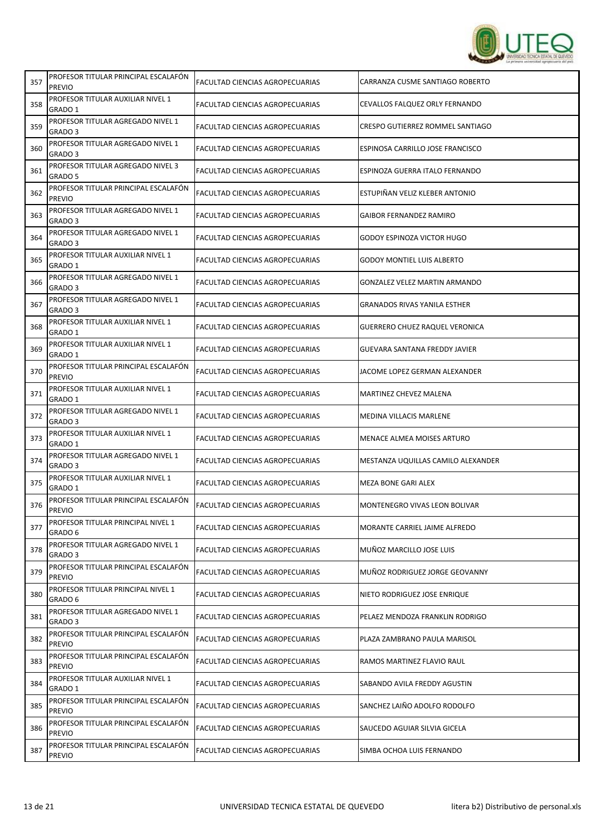

| 357 | PROFESOR TITULAR PRINCIPAL ESCALAFÓN<br><b>PREVIO</b>   | FACULTAD CIENCIAS AGROPECUARIAS | CARRANZA CUSME SANTIAGO ROBERTO       |
|-----|---------------------------------------------------------|---------------------------------|---------------------------------------|
| 358 | PROFESOR TITULAR AUXILIAR NIVEL 1<br>GRADO 1            | FACULTAD CIENCIAS AGROPECUARIAS | CEVALLOS FALQUEZ ORLY FERNANDO        |
| 359 | PROFESOR TITULAR AGREGADO NIVEL 1<br>GRADO <sub>3</sub> | FACULTAD CIENCIAS AGROPECUARIAS | CRESPO GUTIERREZ ROMMEL SANTIAGO      |
| 360 | PROFESOR TITULAR AGREGADO NIVEL 1<br>GRADO 3            | FACULTAD CIENCIAS AGROPECUARIAS | ESPINOSA CARRILLO JOSE FRANCISCO      |
| 361 | PROFESOR TITULAR AGREGADO NIVEL 3<br>GRADO 5            | FACULTAD CIENCIAS AGROPECUARIAS | ESPINOZA GUERRA ITALO FERNANDO        |
| 362 | PROFESOR TITULAR PRINCIPAL ESCALAFÓN<br><b>PREVIO</b>   | FACULTAD CIENCIAS AGROPECUARIAS | ESTUPIÑAN VELIZ KLEBER ANTONIO        |
| 363 | PROFESOR TITULAR AGREGADO NIVEL 1<br>GRADO 3            | FACULTAD CIENCIAS AGROPECUARIAS | <b>GAIBOR FERNANDEZ RAMIRO</b>        |
| 364 | PROFESOR TITULAR AGREGADO NIVEL 1<br>GRADO 3            | FACULTAD CIENCIAS AGROPECUARIAS | GODOY ESPINOZA VICTOR HUGO            |
| 365 | PROFESOR TITULAR AUXILIAR NIVEL 1<br>GRADO 1            | FACULTAD CIENCIAS AGROPECUARIAS | <b>GODOY MONTIEL LUIS ALBERTO</b>     |
| 366 | PROFESOR TITULAR AGREGADO NIVEL 1<br>GRADO 3            | FACULTAD CIENCIAS AGROPECUARIAS | GONZALEZ VELEZ MARTIN ARMANDO         |
| 367 | PROFESOR TITULAR AGREGADO NIVEL 1<br>GRADO 3            | FACULTAD CIENCIAS AGROPECUARIAS | <b>GRANADOS RIVAS YANILA ESTHER</b>   |
| 368 | PROFESOR TITULAR AUXILIAR NIVEL 1<br>GRADO 1            | FACULTAD CIENCIAS AGROPECUARIAS | <b>GUERRERO CHUEZ RAQUEL VERONICA</b> |
| 369 | PROFESOR TITULAR AUXILIAR NIVEL 1<br>GRADO 1            | FACULTAD CIENCIAS AGROPECUARIAS | GUEVARA SANTANA FREDDY JAVIER         |
| 370 | PROFESOR TITULAR PRINCIPAL ESCALAFÓN<br><b>PREVIO</b>   | FACULTAD CIENCIAS AGROPECUARIAS | JACOME LOPEZ GERMAN ALEXANDER         |
| 371 | PROFESOR TITULAR AUXILIAR NIVEL 1<br>GRADO 1            | FACULTAD CIENCIAS AGROPECUARIAS | MARTINEZ CHEVEZ MALENA                |
| 372 | PROFESOR TITULAR AGREGADO NIVEL 1<br>GRADO 3            | FACULTAD CIENCIAS AGROPECUARIAS | MEDINA VILLACIS MARLENE               |
| 373 | PROFESOR TITULAR AUXILIAR NIVEL 1<br>GRADO 1            | FACULTAD CIENCIAS AGROPECUARIAS | MENACE ALMEA MOISES ARTURO            |
| 374 | PROFESOR TITULAR AGREGADO NIVEL 1<br>GRADO 3            | FACULTAD CIENCIAS AGROPECUARIAS | MESTANZA UQUILLAS CAMILO ALEXANDER    |
| 375 | PROFESOR TITULAR AUXILIAR NIVEL 1<br>GRADO 1            | FACULTAD CIENCIAS AGROPECUARIAS | <b>MEZA BONE GARI ALEX</b>            |
| 376 | PROFESOR TITULAR PRINCIPAL ESCALAFÓN<br><b>PREVIO</b>   | FACULTAD CIENCIAS AGROPECUARIAS | MONTENEGRO VIVAS LEON BOLIVAR         |
| 377 | PROFESOR TITULAR PRINCIPAL NIVEL 1<br>GRADO 6           | FACULTAD CIENCIAS AGROPECUARIAS | MORANTE CARRIEL JAIME ALFREDO         |
| 378 | PROFESOR TITULAR AGREGADO NIVEL 1<br>GRADO 3            | FACULTAD CIENCIAS AGROPECUARIAS | MUÑOZ MARCILLO JOSE LUIS              |
| 379 | PROFESOR TITULAR PRINCIPAL ESCALAFÓN<br><b>PREVIO</b>   | FACULTAD CIENCIAS AGROPECUARIAS | MUÑOZ RODRIGUEZ JORGE GEOVANNY        |
| 380 | PROFESOR TITULAR PRINCIPAL NIVEL 1<br>GRADO 6           | FACULTAD CIENCIAS AGROPECUARIAS | NIETO RODRIGUEZ JOSE ENRIQUE          |
| 381 | PROFESOR TITULAR AGREGADO NIVEL 1<br>GRADO 3            | FACULTAD CIENCIAS AGROPECUARIAS | PELAEZ MENDOZA FRANKLIN RODRIGO       |
| 382 | PROFESOR TITULAR PRINCIPAL ESCALAFÓN<br><b>PREVIO</b>   | FACULTAD CIENCIAS AGROPECUARIAS | PLAZA ZAMBRANO PAULA MARISOL          |
| 383 | PROFESOR TITULAR PRINCIPAL ESCALAFÓN<br><b>PREVIO</b>   | FACULTAD CIENCIAS AGROPECUARIAS | RAMOS MARTINEZ FLAVIO RAUL            |
| 384 | PROFESOR TITULAR AUXILIAR NIVEL 1<br>GRADO 1            | FACULTAD CIENCIAS AGROPECUARIAS | SABANDO AVILA FREDDY AGUSTIN          |
| 385 | PROFESOR TITULAR PRINCIPAL ESCALAFÓN<br><b>PREVIO</b>   | FACULTAD CIENCIAS AGROPECUARIAS | SANCHEZ LAIÑO ADOLFO RODOLFO          |
| 386 | PROFESOR TITULAR PRINCIPAL ESCALAFÓN<br><b>PREVIO</b>   | FACULTAD CIENCIAS AGROPECUARIAS | SAUCEDO AGUIAR SILVIA GICELA          |
| 387 | PROFESOR TITULAR PRINCIPAL ESCALAFÓN<br><b>PREVIO</b>   | FACULTAD CIENCIAS AGROPECUARIAS | SIMBA OCHOA LUIS FERNANDO             |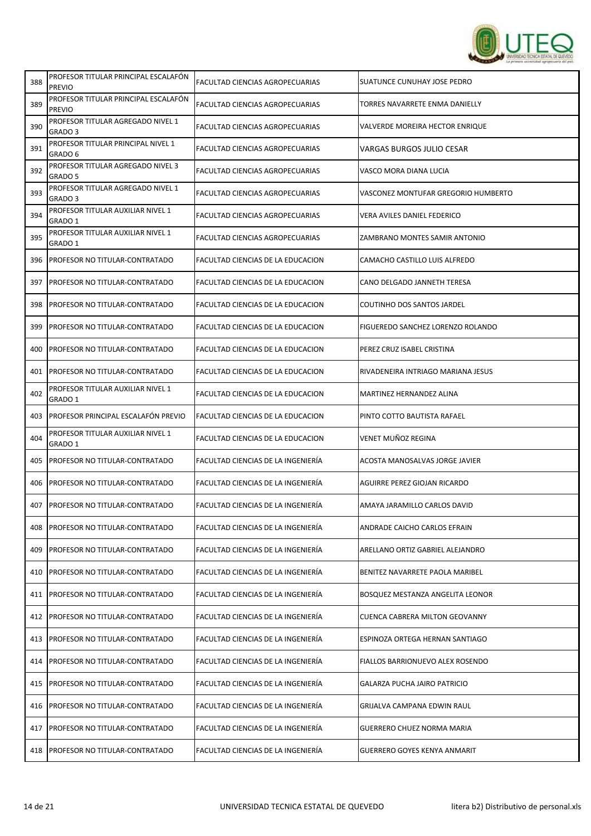

| 388 | PROFESOR TITULAR PRINCIPAL ESCALAFON<br><b>PREVIO</b> | FACULTAD CIENCIAS AGROPECUARIAS        | SUATUNCE CUNUHAY JOSE PEDRO         |
|-----|-------------------------------------------------------|----------------------------------------|-------------------------------------|
| 389 | PROFESOR TITULAR PRINCIPAL ESCALAFÓN<br><b>PREVIO</b> | FACULTAD CIENCIAS AGROPECUARIAS        | TORRES NAVARRETE ENMA DANIELLY      |
| 390 | PROFESOR TITULAR AGREGADO NIVEL 1<br>GRADO 3          | FACULTAD CIENCIAS AGROPECUARIAS        | VALVERDE MOREIRA HECTOR ENRIQUE     |
| 391 | PROFESOR TITULAR PRINCIPAL NIVEL 1<br>GRADO 6         | FACULTAD CIENCIAS AGROPECUARIAS        | VARGAS BURGOS JULIO CESAR           |
| 392 | PROFESOR TITULAR AGREGADO NIVEL 3<br>GRADO 5          | FACULTAD CIENCIAS AGROPECUARIAS        | VASCO MORA DIANA LUCIA              |
| 393 | PROFESOR TITULAR AGREGADO NIVEL 1<br>GRADO 3          | FACULTAD CIENCIAS AGROPECUARIAS        | VASCONEZ MONTUFAR GREGORIO HUMBERTO |
| 394 | PROFESOR TITULAR AUXILIAR NIVEL 1<br>GRADO 1          | <b>FACULTAD CIENCIAS AGROPECUARIAS</b> | VERA AVILES DANIEL FEDERICO         |
| 395 | PROFESOR TITULAR AUXILIAR NIVEL 1<br>GRADO 1          | FACULTAD CIENCIAS AGROPECUARIAS        | ZAMBRANO MONTES SAMIR ANTONIO       |
| 396 | <b>PROFESOR NO TITULAR-CONTRATADO</b>                 | FACULTAD CIENCIAS DE LA EDUCACION      | CAMACHO CASTILLO LUIS ALFREDO       |
| 397 | <b>PROFESOR NO TITULAR-CONTRATADO</b>                 | FACULTAD CIENCIAS DE LA EDUCACION      | CANO DELGADO JANNETH TERESA         |
| 398 | <b>PROFESOR NO TITULAR-CONTRATADO</b>                 | FACULTAD CIENCIAS DE LA EDUCACION      | <b>COUTINHO DOS SANTOS JARDEL</b>   |
| 399 | PROFESOR NO TITULAR-CONTRATADO                        | FACULTAD CIENCIAS DE LA EDUCACION      | FIGUEREDO SANCHEZ LORENZO ROLANDO   |
| 400 | PROFESOR NO TITULAR-CONTRATADO                        | FACULTAD CIENCIAS DE LA EDUCACION      | PEREZ CRUZ ISABEL CRISTINA          |
| 401 | <b>PROFESOR NO TITULAR-CONTRATADO</b>                 | FACULTAD CIENCIAS DE LA EDUCACION      | RIVADENEIRA INTRIAGO MARIANA JESUS  |
| 402 | PROFESOR TITULAR AUXILIAR NIVEL 1<br>GRADO 1          | FACULTAD CIENCIAS DE LA EDUCACION      | MARTINEZ HERNANDEZ ALINA            |
| 403 | PROFESOR PRINCIPAL ESCALAFÓN PREVIO                   | FACULTAD CIENCIAS DE LA EDUCACION      | PINTO COTTO BAUTISTA RAFAEL         |
| 404 | PROFESOR TITULAR AUXILIAR NIVEL 1<br>GRADO 1          | FACULTAD CIENCIAS DE LA EDUCACION      | VENET MUÑOZ REGINA                  |
| 405 | <b>IPROFESOR NO TITULAR-CONTRATADO</b>                | FACULTAD CIENCIAS DE LA INGENIERÍA     | ACOSTA MANOSALVAS JORGE JAVIER      |
| 406 | <b>PROFESOR NO TITULAR-CONTRATADO</b>                 | FACULTAD CIENCIAS DE LA INGENIERÍA     | AGUIRRE PEREZ GIOJAN RICARDO        |
| 407 | <b>PROFESOR NO TITULAR-CONTRATADO</b>                 | FACULTAD CIENCIAS DE LA INGENIERÍA     | AMAYA JARAMILLO CARLOS DAVID        |
| 408 | <b>PROFESOR NO TITULAR-CONTRATADO</b>                 | FACULTAD CIENCIAS DE LA INGENIERÍA     | ANDRADE CAICHO CARLOS EFRAIN        |
| 409 | <b>PROFESOR NO TITULAR-CONTRATADO</b>                 | FACULTAD CIENCIAS DE LA INGENIERÍA     | ARELLANO ORTIZ GABRIEL ALEJANDRO    |
| 410 | <b>PROFESOR NO TITULAR-CONTRATADO</b>                 | FACULTAD CIENCIAS DE LA INGENIERÍA     | BENITEZ NAVARRETE PAOLA MARIBEL     |
| 411 | PROFESOR NO TITULAR-CONTRATADO                        | FACULTAD CIENCIAS DE LA INGENIERÍA     | BOSQUEZ MESTANZA ANGELITA LEONOR    |
| 412 | <b>PROFESOR NO TITULAR-CONTRATADO</b>                 | FACULTAD CIENCIAS DE LA INGENIERÍA     | CUENCA CABRERA MILTON GEOVANNY      |
| 413 | <b>PROFESOR NO TITULAR-CONTRATADO</b>                 | FACULTAD CIENCIAS DE LA INGENIERÍA     | ESPINOZA ORTEGA HERNAN SANTIAGO     |
| 414 | <b>PROFESOR NO TITULAR-CONTRATADO</b>                 | FACULTAD CIENCIAS DE LA INGENIERÍA     | FIALLOS BARRIONUEVO ALEX ROSENDO    |
| 415 | <b>PROFESOR NO TITULAR-CONTRATADO</b>                 | FACULTAD CIENCIAS DE LA INGENIERÍA     | GALARZA PUCHA JAIRO PATRICIO        |
| 416 | <b>PROFESOR NO TITULAR-CONTRATADO</b>                 | FACULTAD CIENCIAS DE LA INGENIERÍA     | GRIJALVA CAMPANA EDWIN RAUL         |
|     | 417   PROFESOR NO TITULAR-CONTRATADO                  | FACULTAD CIENCIAS DE LA INGENIERÍA     | GUERRERO CHUEZ NORMA MARIA          |
|     | 418 PROFESOR NO TITULAR-CONTRATADO                    | FACULTAD CIENCIAS DE LA INGENIERÍA     | <b>GUERRERO GOYES KENYA ANMARIT</b> |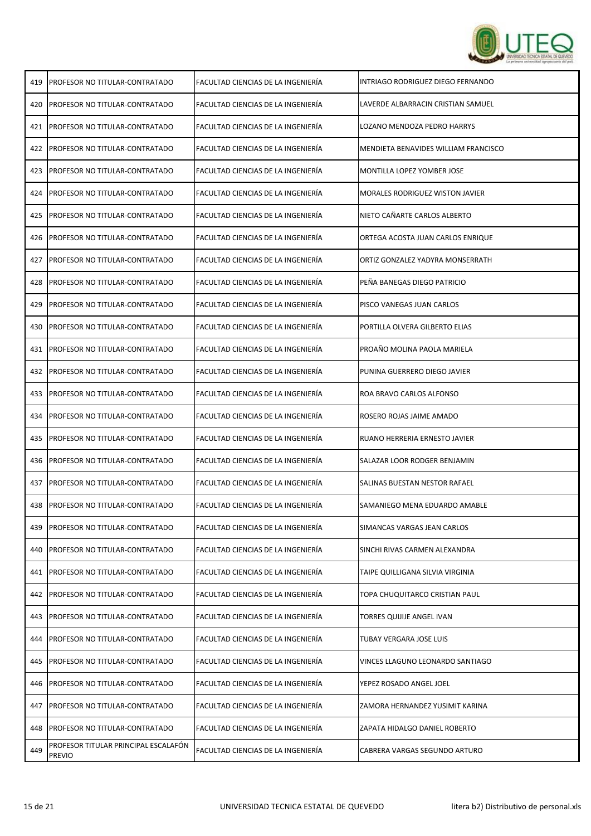

| 419 | PROFESOR NO TITULAR-CONTRATADO                        | FACULTAD CIENCIAS DE LA INGENIERÍA | INTRIAGO RODRIGUEZ DIEGO FERNANDO    |
|-----|-------------------------------------------------------|------------------------------------|--------------------------------------|
| 420 | PROFESOR NO TITULAR-CONTRATADO                        | FACULTAD CIENCIAS DE LA INGENIERÍA | LAVERDE ALBARRACIN CRISTIAN SAMUEL   |
| 421 | PROFESOR NO TITULAR-CONTRATADO                        | FACULTAD CIENCIAS DE LA INGENIERÍA | LOZANO MENDOZA PEDRO HARRYS          |
| 422 | PROFESOR NO TITULAR-CONTRATADO                        | FACULTAD CIENCIAS DE LA INGENIERÍA | MENDIETA BENAVIDES WILLIAM FRANCISCO |
| 423 | PROFESOR NO TITULAR-CONTRATADO                        | FACULTAD CIENCIAS DE LA INGENIERÍA | MONTILLA LOPEZ YOMBER JOSE           |
| 424 | PROFESOR NO TITULAR-CONTRATADO                        | FACULTAD CIENCIAS DE LA INGENIERÍA | MORALES RODRIGUEZ WISTON JAVIER      |
| 425 | PROFESOR NO TITULAR-CONTRATADO                        | FACULTAD CIENCIAS DE LA INGENIERÍA | NIETO CAÑARTE CARLOS ALBERTO         |
| 426 | PROFESOR NO TITULAR-CONTRATADO                        | FACULTAD CIENCIAS DE LA INGENIERÍA | ORTEGA ACOSTA JUAN CARLOS ENRIQUE    |
| 427 | PROFESOR NO TITULAR-CONTRATADO                        | FACULTAD CIENCIAS DE LA INGENIERÍA | ORTIZ GONZALEZ YADYRA MONSERRATH     |
| 428 | PROFESOR NO TITULAR-CONTRATADO                        | FACULTAD CIENCIAS DE LA INGENIERÍA | PEÑA BANEGAS DIEGO PATRICIO          |
| 429 | PROFESOR NO TITULAR-CONTRATADO                        | FACULTAD CIENCIAS DE LA INGENIERÍA | PISCO VANEGAS JUAN CARLOS            |
| 430 | PROFESOR NO TITULAR-CONTRATADO                        | FACULTAD CIENCIAS DE LA INGENIERÍA | PORTILLA OLVERA GILBERTO ELIAS       |
| 431 | PROFESOR NO TITULAR-CONTRATADO                        | FACULTAD CIENCIAS DE LA INGENIERÍA | PROAÑO MOLINA PAOLA MARIELA          |
| 432 | PROFESOR NO TITULAR-CONTRATADO                        | FACULTAD CIENCIAS DE LA INGENIERÍA | PUNINA GUERRERO DIEGO JAVIER         |
| 433 | PROFESOR NO TITULAR-CONTRATADO                        | FACULTAD CIENCIAS DE LA INGENIERÍA | ROA BRAVO CARLOS ALFONSO             |
| 434 | PROFESOR NO TITULAR-CONTRATADO                        | FACULTAD CIENCIAS DE LA INGENIERÍA | ROSERO ROJAS JAIME AMADO             |
| 435 | PROFESOR NO TITULAR-CONTRATADO                        | FACULTAD CIENCIAS DE LA INGENIERÍA | RUANO HERRERIA ERNESTO JAVIER        |
| 436 | PROFESOR NO TITULAR-CONTRATADO                        | FACULTAD CIENCIAS DE LA INGENIERÍA | SALAZAR LOOR RODGER BENJAMIN         |
| 437 | PROFESOR NO TITULAR-CONTRATADO                        | FACULTAD CIENCIAS DE LA INGENIERÍA | SALINAS BUESTAN NESTOR RAFAEL        |
| 438 | PROFESOR NO TITULAR-CONTRATADO                        | FACULTAD CIENCIAS DE LA INGENIERÍA | SAMANIEGO MENA EDUARDO AMABLE        |
| 439 | PROFESOR NO TITULAR-CONTRATADO                        | FACULTAD CIENCIAS DE LA INGENIERÍA | SIMANCAS VARGAS JEAN CARLOS          |
| 440 | PROFESOR NO TITULAR-CONTRATADO                        | FACULTAD CIENCIAS DE LA INGENIERÍA | SINCHI RIVAS CARMEN ALEXANDRA        |
| 441 | PROFESOR NO TITULAR-CONTRATADO                        | FACULTAD CIENCIAS DE LA INGENIERÍA | TAIPE QUILLIGANA SILVIA VIRGINIA     |
| 442 | PROFESOR NO TITULAR-CONTRATADO                        | FACULTAD CIENCIAS DE LA INGENIERÍA | TOPA CHUQUITARCO CRISTIAN PAUL       |
| 443 | PROFESOR NO TITULAR-CONTRATADO                        | FACULTAD CIENCIAS DE LA INGENIERÍA | TORRES QUIJIJE ANGEL IVAN            |
| 444 | PROFESOR NO TITULAR-CONTRATADO                        | FACULTAD CIENCIAS DE LA INGENIERÍA | TUBAY VERGARA JOSE LUIS              |
| 445 | PROFESOR NO TITULAR-CONTRATADO                        | FACULTAD CIENCIAS DE LA INGENIERÍA | VINCES LLAGUNO LEONARDO SANTIAGO     |
| 446 | PROFESOR NO TITULAR-CONTRATADO                        | FACULTAD CIENCIAS DE LA INGENIERÍA | YEPEZ ROSADO ANGEL JOEL              |
| 447 | PROFESOR NO TITULAR-CONTRATADO                        | FACULTAD CIENCIAS DE LA INGENIERÍA | ZAMORA HERNANDEZ YUSIMIT KARINA      |
| 448 | PROFESOR NO TITULAR-CONTRATADO                        | FACULTAD CIENCIAS DE LA INGENIERÍA | ZAPATA HIDALGO DANIEL ROBERTO        |
| 449 | PROFESOR TITULAR PRINCIPAL ESCALAFÓN<br><b>PREVIO</b> | FACULTAD CIENCIAS DE LA INGENIERÍA | CABRERA VARGAS SEGUNDO ARTURO        |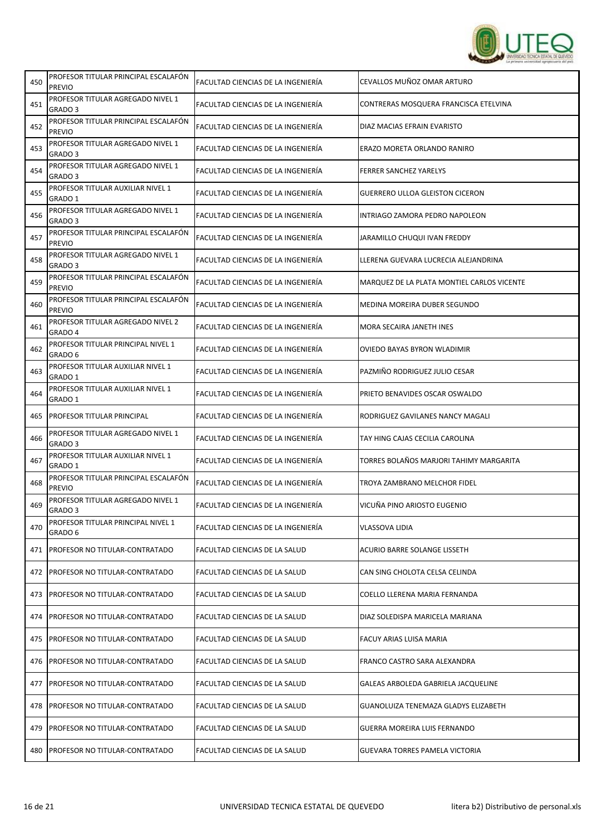

| 450 | PROFESOR TITULAR PRINCIPAL ESCALAFON<br><b>PREVIO</b>   | FACULTAD CIENCIAS DE LA INGENIERÍA | CEVALLOS MUÑOZ OMAR ARTURO                 |
|-----|---------------------------------------------------------|------------------------------------|--------------------------------------------|
| 451 | PROFESOR TITULAR AGREGADO NIVEL 1<br>GRADO 3            | FACULTAD CIENCIAS DE LA INGENIERÍA | CONTRERAS MOSQUERA FRANCISCA ETELVINA      |
| 452 | PROFESOR TITULAR PRINCIPAL ESCALAFÓN<br>PREVIO          | FACULTAD CIENCIAS DE LA INGENIERÍA | DIAZ MACIAS EFRAIN EVARISTO                |
| 453 | PROFESOR TITULAR AGREGADO NIVEL 1<br>GRADO 3            | FACULTAD CIENCIAS DE LA INGENIERÍA | ERAZO MORETA ORLANDO RANIRO                |
| 454 | PROFESOR TITULAR AGREGADO NIVEL 1<br>GRADO 3            | FACULTAD CIENCIAS DE LA INGENIERÍA | <b>FERRER SANCHEZ YARELYS</b>              |
| 455 | PROFESOR TITULAR AUXILIAR NIVEL 1<br>GRADO 1            | FACULTAD CIENCIAS DE LA INGENIERÍA | <b>GUERRERO ULLOA GLEISTON CICERON</b>     |
| 456 | PROFESOR TITULAR AGREGADO NIVEL 1<br>GRADO <sub>3</sub> | FACULTAD CIENCIAS DE LA INGENIERÍA | INTRIAGO ZAMORA PEDRO NAPOLEON             |
| 457 | PROFESOR TITULAR PRINCIPAL ESCALAFÓN<br><b>PREVIO</b>   | FACULTAD CIENCIAS DE LA INGENIERÍA | JARAMILLO CHUQUI IVAN FREDDY               |
| 458 | PROFESOR TITULAR AGREGADO NIVEL 1<br>GRADO <sub>3</sub> | FACULTAD CIENCIAS DE LA INGENIERÍA | LLERENA GUEVARA LUCRECIA ALEJANDRINA       |
| 459 | PROFESOR TITULAR PRINCIPAL ESCALAFÓN<br><b>PREVIO</b>   | FACULTAD CIENCIAS DE LA INGENIERÍA | MARQUEZ DE LA PLATA MONTIEL CARLOS VICENTE |
| 460 | PROFESOR TITULAR PRINCIPAL ESCALAFÓN<br><b>PREVIO</b>   | FACULTAD CIENCIAS DE LA INGENIERÍA | MEDINA MOREIRA DUBER SEGUNDO               |
| 461 | PROFESOR TITULAR AGREGADO NIVEL 2<br>GRADO 4            | FACULTAD CIENCIAS DE LA INGENIERÍA | MORA SECAIRA JANETH INES                   |
| 462 | PROFESOR TITULAR PRINCIPAL NIVEL 1<br>GRADO 6           | FACULTAD CIENCIAS DE LA INGENIERÍA | OVIEDO BAYAS BYRON WLADIMIR                |
| 463 | PROFESOR TITULAR AUXILIAR NIVEL 1<br>GRADO 1            | FACULTAD CIENCIAS DE LA INGENIERÍA | PAZMIÑO RODRIGUEZ JULIO CESAR              |
| 464 | PROFESOR TITULAR AUXILIAR NIVEL 1<br>GRADO 1            | FACULTAD CIENCIAS DE LA INGENIERÍA | PRIETO BENAVIDES OSCAR OSWALDO             |
| 465 | PROFESOR TITULAR PRINCIPAL                              | FACULTAD CIENCIAS DE LA INGENIERÍA | RODRIGUEZ GAVILANES NANCY MAGALI           |
| 466 | PROFESOR TITULAR AGREGADO NIVEL 1<br>GRADO 3            | FACULTAD CIENCIAS DE LA INGENIERÍA | TAY HING CAJAS CECILIA CAROLINA            |
| 467 | PROFESOR TITULAR AUXILIAR NIVEL 1<br>GRADO 1            | FACULTAD CIENCIAS DE LA INGENIERÍA | TORRES BOLAÑOS MARJORI TAHIMY MARGARITA    |
| 468 | PROFESOR TITULAR PRINCIPAL ESCALAFÓN<br><b>PREVIO</b>   | FACULTAD CIENCIAS DE LA INGENIERÍA | TROYA ZAMBRANO MELCHOR FIDEL               |
| 469 | PROFESOR TITULAR AGREGADO NIVEL 1<br>GRADO 3            | FACULTAD CIENCIAS DE LA INGENIERÍA | VICUÑA PINO ARIOSTO EUGENIO                |
| 470 | PROFESOR TITULAR PRINCIPAL NIVEL 1<br>GRADO 6           | FACULTAD CIENCIAS DE LA INGENIERÍA | <b>VLASSOVA LIDIA</b>                      |
| 471 | <b>PROFESOR NO TITULAR-CONTRATADO</b>                   | FACULTAD CIENCIAS DE LA SALUD      | ACURIO BARRE SOLANGE LISSETH               |
| 472 | <b>PROFESOR NO TITULAR-CONTRATADO</b>                   | FACULTAD CIENCIAS DE LA SALUD      | CAN SING CHOLOTA CELSA CELINDA             |
| 473 | PROFESOR NO TITULAR-CONTRATADO                          | FACULTAD CIENCIAS DE LA SALUD      | COELLO LLERENA MARIA FERNANDA              |
| 474 | PROFESOR NO TITULAR-CONTRATADO                          | FACULTAD CIENCIAS DE LA SALUD      | DIAZ SOLEDISPA MARICELA MARIANA            |
| 475 | <b>PROFESOR NO TITULAR-CONTRATADO</b>                   | FACULTAD CIENCIAS DE LA SALUD      | FACUY ARIAS LUISA MARIA                    |
| 476 | <b>IPROFESOR NO TITULAR-CONTRATADO</b>                  | FACULTAD CIENCIAS DE LA SALUD      | FRANCO CASTRO SARA ALEXANDRA               |
| 477 | PROFESOR NO TITULAR-CONTRATADO                          | FACULTAD CIENCIAS DE LA SALUD      | GALEAS ARBOLEDA GABRIELA JACQUELINE        |
| 478 | PROFESOR NO TITULAR-CONTRATADO                          | FACULTAD CIENCIAS DE LA SALUD      | GUANOLUIZA TENEMAZA GLADYS ELIZABETH       |
| 479 | <b>PROFESOR NO TITULAR-CONTRATADO</b>                   | FACULTAD CIENCIAS DE LA SALUD      | GUERRA MOREIRA LUIS FERNANDO               |
| 480 | <b>PROFESOR NO TITULAR-CONTRATADO</b>                   | FACULTAD CIENCIAS DE LA SALUD      | GUEVARA TORRES PAMELA VICTORIA             |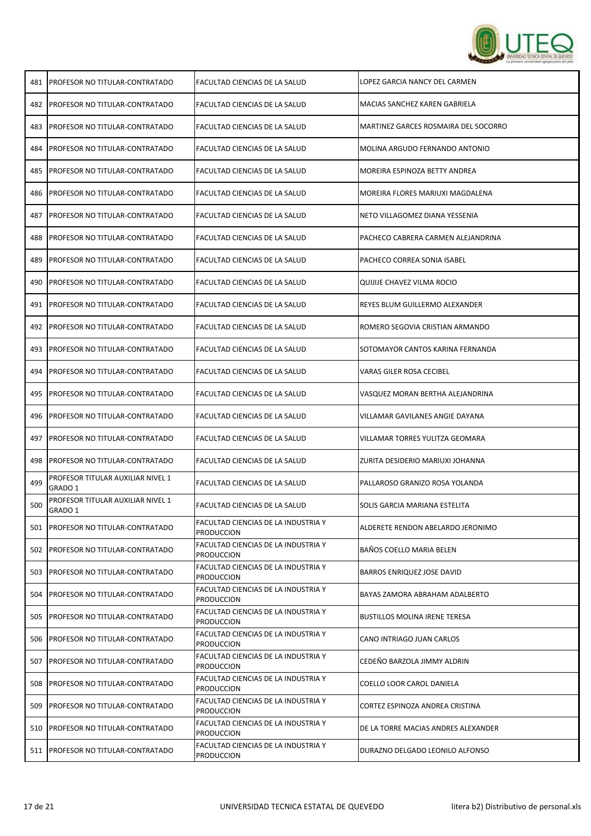

| 481 | <b>PROFESOR NO TITULAR-CONTRATADO</b>        | FACULTAD CIENCIAS DE LA SALUD                            | LOPEZ GARCIA NANCY DEL CARMEN        |
|-----|----------------------------------------------|----------------------------------------------------------|--------------------------------------|
| 482 | <b>PROFESOR NO TITULAR-CONTRATADO</b>        | FACULTAD CIENCIAS DE LA SALUD                            | MACIAS SANCHEZ KAREN GABRIELA        |
| 483 | <b>PROFESOR NO TITULAR-CONTRATADO</b>        | FACULTAD CIENCIAS DE LA SALUD                            | MARTINEZ GARCES ROSMAIRA DEL SOCORRO |
| 484 | PROFESOR NO TITULAR-CONTRATADO               | FACULTAD CIENCIAS DE LA SALUD                            | MOLINA ARGUDO FERNANDO ANTONIO       |
| 485 | PROFESOR NO TITULAR-CONTRATADO               | FACULTAD CIENCIAS DE LA SALUD                            | MOREIRA ESPINOZA BETTY ANDREA        |
| 486 | <b>PROFESOR NO TITULAR-CONTRATADO</b>        | FACULTAD CIENCIAS DE LA SALUD                            | MOREIRA FLORES MARIUXI MAGDALENA     |
| 487 | PROFESOR NO TITULAR-CONTRATADO               | FACULTAD CIENCIAS DE LA SALUD                            | NETO VILLAGOMEZ DIANA YESSENIA       |
| 488 | PROFESOR NO TITULAR-CONTRATADO               | FACULTAD CIENCIAS DE LA SALUD                            | PACHECO CABRERA CARMEN ALEJANDRINA   |
| 489 | PROFESOR NO TITULAR-CONTRATADO               | FACULTAD CIENCIAS DE LA SALUD                            | PACHECO CORREA SONIA ISABEL          |
| 490 | <b>PROFESOR NO TITULAR-CONTRATADO</b>        | FACULTAD CIENCIAS DE LA SALUD                            | QUIJIJE CHAVEZ VILMA ROCIO           |
| 491 | <b>PROFESOR NO TITULAR-CONTRATADO</b>        | FACULTAD CIENCIAS DE LA SALUD                            | REYES BLUM GUILLERMO ALEXANDER       |
| 492 | PROFESOR NO TITULAR-CONTRATADO               | FACULTAD CIENCIAS DE LA SALUD                            | ROMERO SEGOVIA CRISTIAN ARMANDO      |
| 493 | PROFESOR NO TITULAR-CONTRATADO               | FACULTAD CIENCIAS DE LA SALUD                            | SOTOMAYOR CANTOS KARINA FERNANDA     |
| 494 | PROFESOR NO TITULAR-CONTRATADO               | FACULTAD CIENCIAS DE LA SALUD                            | VARAS GILER ROSA CECIBEL             |
| 495 | PROFESOR NO TITULAR-CONTRATADO               | FACULTAD CIENCIAS DE LA SALUD                            | VASQUEZ MORAN BERTHA ALEJANDRINA     |
| 496 | PROFESOR NO TITULAR-CONTRATADO               | FACULTAD CIENCIAS DE LA SALUD                            | VILLAMAR GAVILANES ANGIE DAYANA      |
| 497 | <b>PROFESOR NO TITULAR-CONTRATADO</b>        | FACULTAD CIENCIAS DE LA SALUD                            | VILLAMAR TORRES YULITZA GEOMARA      |
| 498 | <b>PROFESOR NO TITULAR-CONTRATADO</b>        | FACULTAD CIENCIAS DE LA SALUD                            | ZURITA DESIDERIO MARIUXI JOHANNA     |
| 499 | PROFESOR TITULAR AUXILIAR NIVEL 1<br>GRADO 1 | FACULTAD CIENCIAS DE LA SALUD                            | PALLAROSO GRANIZO ROSA YOLANDA       |
| 500 | PROFESOR TITULAR AUXILIAR NIVEL 1<br>GRADO 1 | FACULTAD CIENCIAS DE LA SALUD                            | SOLIS GARCIA MARIANA ESTELITA        |
|     | 501   PROFESOR NO TITULAR-CONTRATADO         | FACULTAD CIENCIAS DE LA INDUSTRIA Y<br><b>PRODUCCION</b> | ALDERETE RENDON ABELARDO JERONIMO    |
| 502 | <b>PROFESOR NO TITULAR-CONTRATADO</b>        | FACULTAD CIENCIAS DE LA INDUSTRIA Y<br><b>PRODUCCION</b> | BAÑOS COELLO MARIA BELEN             |
| 503 | PROFESOR NO TITULAR-CONTRATADO               | FACULTAD CIENCIAS DE LA INDUSTRIA Y<br><b>PRODUCCION</b> | BARROS ENRIQUEZ JOSE DAVID           |
| 504 | PROFESOR NO TITULAR-CONTRATADO               | FACULTAD CIENCIAS DE LA INDUSTRIA Y<br><b>PRODUCCION</b> | BAYAS ZAMORA ABRAHAM ADALBERTO       |
| 505 | PROFESOR NO TITULAR-CONTRATADO               | FACULTAD CIENCIAS DE LA INDUSTRIA Y<br><b>PRODUCCION</b> | <b>BUSTILLOS MOLINA IRENE TERESA</b> |
| 506 | <b>PROFESOR NO TITULAR-CONTRATADO</b>        | FACULTAD CIENCIAS DE LA INDUSTRIA Y<br><b>PRODUCCION</b> | CANO INTRIAGO JUAN CARLOS            |
| 507 | PROFESOR NO TITULAR-CONTRATADO               | FACULTAD CIENCIAS DE LA INDUSTRIA Y<br>PRODUCCION        | CEDEÑO BARZOLA JIMMY ALDRIN          |
| 508 | PROFESOR NO TITULAR-CONTRATADO               | FACULTAD CIENCIAS DE LA INDUSTRIA Y<br>PRODUCCION        | COELLO LOOR CAROL DANIELA            |
| 509 | PROFESOR NO TITULAR-CONTRATADO               | FACULTAD CIENCIAS DE LA INDUSTRIA Y<br>PRODUCCION        | CORTEZ ESPINOZA ANDREA CRISTINA      |
| 510 | <b>PROFESOR NO TITULAR-CONTRATADO</b>        | FACULTAD CIENCIAS DE LA INDUSTRIA Y<br><b>PRODUCCION</b> | DE LA TORRE MACIAS ANDRES ALEXANDER  |
| 511 | <b>PROFESOR NO TITULAR-CONTRATADO</b>        | FACULTAD CIENCIAS DE LA INDUSTRIA Y<br><b>PRODUCCION</b> | DURAZNO DELGADO LEONILO ALFONSO      |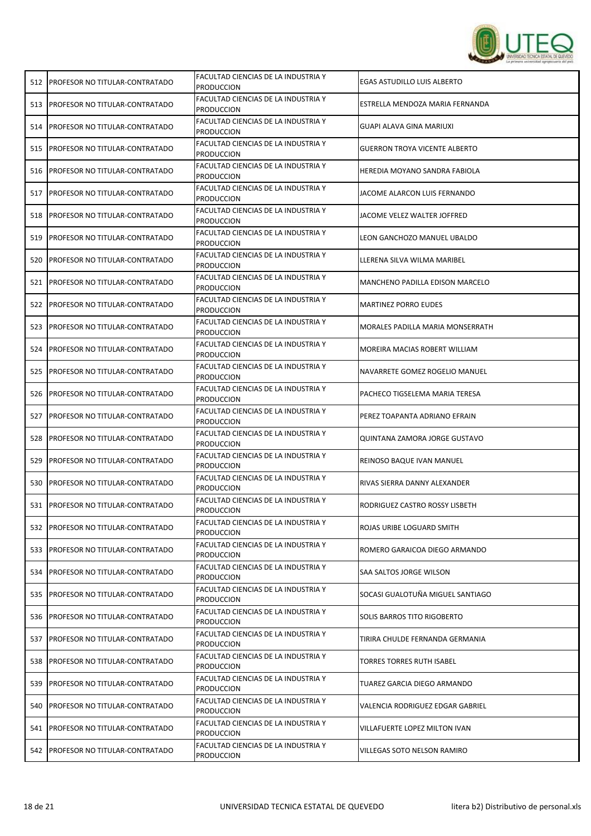

| 512 | <b>PROFESOR NO TITULAR-CONTRATADO</b>  | <b>FACULTAD CIENCIAS DE LA INDUSTRIA Y</b><br><b>PRODUCCION</b> | <b>EGAS ASTUDILLO LUIS ALBERTO</b>   |
|-----|----------------------------------------|-----------------------------------------------------------------|--------------------------------------|
| 513 | <b>PROFESOR NO TITULAR-CONTRATADO</b>  | FACULTAD CIENCIAS DE LA INDUSTRIA Y<br>PRODUCCION               | ESTRELLA MENDOZA MARIA FERNANDA      |
|     | 514   PROFESOR NO TITULAR-CONTRATADO   | FACULTAD CIENCIAS DE LA INDUSTRIA Y<br><b>PRODUCCION</b>        | GUAPI ALAVA GINA MARIUXI             |
| 515 | <b>PROFESOR NO TITULAR-CONTRATADO</b>  | FACULTAD CIENCIAS DE LA INDUSTRIA Y<br><b>PRODUCCION</b>        | <b>GUERRON TROYA VICENTE ALBERTO</b> |
| 516 | <b>PROFESOR NO TITULAR-CONTRATADO</b>  | FACULTAD CIENCIAS DE LA INDUSTRIA Y<br><b>PRODUCCION</b>        | HEREDIA MOYANO SANDRA FABIOLA        |
| 517 | <b>PROFESOR NO TITULAR-CONTRATADO</b>  | FACULTAD CIENCIAS DE LA INDUSTRIA Y<br>Produccion               | JACOME ALARCON LUIS FERNANDO         |
| 518 | <b>PROFESOR NO TITULAR-CONTRATADO</b>  | FACULTAD CIENCIAS DE LA INDUSTRIA Y<br><b>PRODUCCION</b>        | JACOME VELEZ WALTER JOFFRED          |
| 519 | <b>PROFESOR NO TITULAR-CONTRATADO</b>  | FACULTAD CIENCIAS DE LA INDUSTRIA Y<br><b>PRODUCCION</b>        | LEON GANCHOZO MANUEL UBALDO          |
| 520 | PROFESOR NO TITULAR-CONTRATADO         | FACULTAD CIENCIAS DE LA INDUSTRIA Y<br><b>PRODUCCION</b>        | LLERENA SILVA WILMA MARIBEL          |
| 521 | <b>PROFESOR NO TITULAR-CONTRATADO</b>  | FACULTAD CIENCIAS DE LA INDUSTRIA Y<br><b>PRODUCCION</b>        | MANCHENO PADILLA EDISON MARCELO      |
|     | 522 PROFESOR NO TITULAR-CONTRATADO     | FACULTAD CIENCIAS DE LA INDUSTRIA Y<br><b>PRODUCCION</b>        | <b>MARTINEZ PORRO EUDES</b>          |
| 523 | <b>PROFESOR NO TITULAR-CONTRATADO</b>  | FACULTAD CIENCIAS DE LA INDUSTRIA Y<br><b>PRODUCCION</b>        | MORALES PADILLA MARIA MONSERRATH     |
| 524 | PROFESOR NO TITULAR-CONTRATADO         | FACULTAD CIENCIAS DE LA INDUSTRIA Y<br><b>PRODUCCION</b>        | MOREIRA MACIAS ROBERT WILLIAM        |
| 525 | <b>PROFESOR NO TITULAR-CONTRATADO</b>  | FACULTAD CIENCIAS DE LA INDUSTRIA Y<br><b>PRODUCCION</b>        | NAVARRETE GOMEZ ROGELIO MANUEL       |
| 526 | <b>PROFESOR NO TITULAR-CONTRATADO</b>  | FACULTAD CIENCIAS DE LA INDUSTRIA Y<br><b>PRODUCCION</b>        | PACHECO TIGSELEMA MARIA TERESA       |
| 527 | <b>PROFESOR NO TITULAR-CONTRATADO</b>  | FACULTAD CIENCIAS DE LA INDUSTRIA Y<br><b>PRODUCCION</b>        | PEREZ TOAPANTA ADRIANO EFRAIN        |
| 528 | PROFESOR NO TITULAR-CONTRATADO         | FACULTAD CIENCIAS DE LA INDUSTRIA Y<br><b>PRODUCCION</b>        | QUINTANA ZAMORA JORGE GUSTAVO        |
| 529 | <b>PROFESOR NO TITULAR-CONTRATADO</b>  | FACULTAD CIENCIAS DE LA INDUSTRIA Y<br><b>PRODUCCION</b>        | REINOSO BAQUE IVAN MANUEL            |
| 530 | <b>PROFESOR NO TITULAR-CONTRATADO</b>  | FACULTAD CIENCIAS DE LA INDUSTRIA Y<br><b>PRODUCCION</b>        | RIVAS SIERRA DANNY ALEXANDER         |
|     | 531 PROFESOR NO TITULAR-CONTRATADO     | FACULTAD CIENCIAS DE LA INDUSTRIA Y<br><b>PRODUCCION</b>        | RODRIGUEZ CASTRO ROSSY LISBETH       |
| 532 | <b>IPROFESOR NO TITULAR-CONTRATADO</b> | FACULTAD CIENCIAS DE LA INDUSTRIA Y<br><b>PRODUCCION</b>        | ROJAS URIBE LOGUARD SMITH            |
| 533 | <b>PROFESOR NO TITULAR-CONTRATADO</b>  | FACULTAD CIENCIAS DE LA INDUSTRIA Y<br><b>PRODUCCION</b>        | ROMERO GARAICOA DIEGO ARMANDO        |
| 534 | <b>PROFESOR NO TITULAR-CONTRATADO</b>  | FACULTAD CIENCIAS DE LA INDUSTRIA Y<br><b>PRODUCCION</b>        | SAA SALTOS JORGE WILSON              |
| 535 | <b>PROFESOR NO TITULAR-CONTRATADO</b>  | FACULTAD CIENCIAS DE LA INDUSTRIA Y<br><b>PRODUCCION</b>        | SOCASI GUALOTUÑA MIGUEL SANTIAGO     |
| 536 | <b>PROFESOR NO TITULAR-CONTRATADO</b>  | FACULTAD CIENCIAS DE LA INDUSTRIA Y<br>Produccion               | SOLIS BARROS TITO RIGOBERTO          |
| 537 | <b>PROFESOR NO TITULAR-CONTRATADO</b>  | FACULTAD CIENCIAS DE LA INDUSTRIA Y<br><b>PRODUCCION</b>        | TIRIRA CHULDE FERNANDA GERMANIA      |
| 538 | <b>PROFESOR NO TITULAR-CONTRATADO</b>  | FACULTAD CIENCIAS DE LA INDUSTRIA Y<br><b>PRODUCCION</b>        | <b>TORRES TORRES RUTH ISABEL</b>     |
| 539 | PROFESOR NO TITULAR-CONTRATADO         | FACULTAD CIENCIAS DE LA INDUSTRIA Y<br><b>PRODUCCION</b>        | TUAREZ GARCIA DIEGO ARMANDO          |
| 540 | <b>PROFESOR NO TITULAR-CONTRATADO</b>  | FACULTAD CIENCIAS DE LA INDUSTRIA Y<br>PRODUCCION               | VALENCIA RODRIGUEZ EDGAR GABRIEL     |
|     | 541   PROFESOR NO TITULAR-CONTRATADO   | FACULTAD CIENCIAS DE LA INDUSTRIA Y<br>PRODUCCION               | VILLAFUERTE LOPEZ MILTON IVAN        |
|     | 542 PROFESOR NO TITULAR-CONTRATADO     | FACULTAD CIENCIAS DE LA INDUSTRIA Y<br><b>PRODUCCION</b>        | VILLEGAS SOTO NELSON RAMIRO          |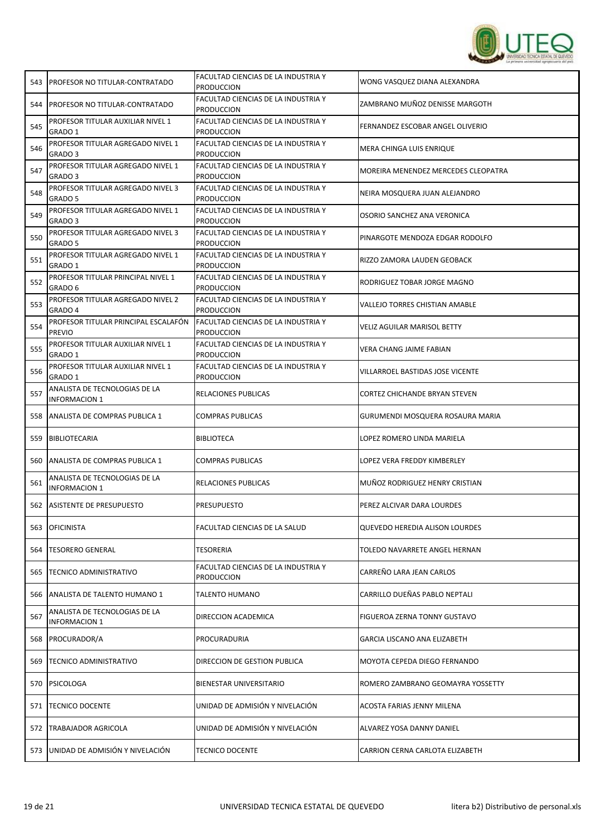

| 543 | <b>PROFESOR NO TITULAR-CONTRATADO</b>                   | <b>FACULTAD CIENCIAS DE LA INDUSTRIA Y</b><br>PRODUCCION | WONG VASQUEZ DIANA ALEXANDRA          |
|-----|---------------------------------------------------------|----------------------------------------------------------|---------------------------------------|
| 544 | <b>PROFESOR NO TITULAR-CONTRATADO</b>                   | FACULTAD CIENCIAS DE LA INDUSTRIA Y<br><b>PRODUCCION</b> | ZAMBRANO MUÑOZ DENISSE MARGOTH        |
| 545 | PROFESOR TITULAR AUXILIAR NIVEL 1<br>GRADO 1            | FACULTAD CIENCIAS DE LA INDUSTRIA Y<br><b>PRODUCCION</b> | FERNANDEZ ESCOBAR ANGEL OLIVERIO      |
| 546 | PROFESOR TITULAR AGREGADO NIVEL 1<br>GRADO <sub>3</sub> | FACULTAD CIENCIAS DE LA INDUSTRIA Y<br><b>PRODUCCION</b> | MERA CHINGA LUIS ENRIQUE              |
| 547 | PROFESOR TITULAR AGREGADO NIVEL 1<br>GRADO <sub>3</sub> | FACULTAD CIENCIAS DE LA INDUSTRIA Y<br><b>PRODUCCION</b> | MOREIRA MENENDEZ MERCEDES CLEOPATRA   |
| 548 | PROFESOR TITULAR AGREGADO NIVEL 3<br>GRADO 5            | FACULTAD CIENCIAS DE LA INDUSTRIA Y<br><b>PRODUCCION</b> | NEIRA MOSQUERA JUAN ALEJANDRO         |
| 549 | PROFESOR TITULAR AGREGADO NIVEL 1<br>GRADO <sub>3</sub> | FACULTAD CIENCIAS DE LA INDUSTRIA Y<br><b>PRODUCCION</b> | OSORIO SANCHEZ ANA VERONICA           |
| 550 | PROFESOR TITULAR AGREGADO NIVEL 3<br>GRADO 5            | FACULTAD CIENCIAS DE LA INDUSTRIA Y<br><b>PRODUCCION</b> | PINARGOTE MENDOZA EDGAR RODOLFO       |
| 551 | PROFESOR TITULAR AGREGADO NIVEL 1<br>GRADO 1            | FACULTAD CIENCIAS DE LA INDUSTRIA Y<br><b>PRODUCCION</b> | RIZZO ZAMORA LAUDEN GEOBACK           |
| 552 | PROFESOR TITULAR PRINCIPAL NIVEL 1<br>GRADO 6           | FACULTAD CIENCIAS DE LA INDUSTRIA Y<br><b>PRODUCCION</b> | RODRIGUEZ TOBAR JORGE MAGNO           |
| 553 | PROFESOR TITULAR AGREGADO NIVEL 2<br>GRADO 4            | FACULTAD CIENCIAS DE LA INDUSTRIA Y<br><b>PRODUCCION</b> | VALLEJO TORRES CHISTIAN AMABLE        |
| 554 | PROFESOR TITULAR PRINCIPAL ESCALAFÓN<br><b>PREVIO</b>   | FACULTAD CIENCIAS DE LA INDUSTRIA Y<br><b>PRODUCCION</b> | <b>VELIZ AGUILAR MARISOL BETTY</b>    |
| 555 | PROFESOR TITULAR AUXILIAR NIVEL 1<br>GRADO 1            | FACULTAD CIENCIAS DE LA INDUSTRIA Y<br><b>PRODUCCION</b> | VERA CHANG JAIME FABIAN               |
| 556 | PROFESOR TITULAR AUXILIAR NIVEL 1<br>GRADO 1            | FACULTAD CIENCIAS DE LA INDUSTRIA Y<br><b>PRODUCCION</b> | VILLARROEL BASTIDAS JOSE VICENTE      |
| 557 | ANALISTA DE TECNOLOGIAS DE LA<br>INFORMACION 1          | RELACIONES PUBLICAS                                      | CORTEZ CHICHANDE BRYAN STEVEN         |
| 558 | ANALISTA DE COMPRAS PUBLICA 1                           | COMPRAS PUBLICAS                                         | GURUMENDI MOSQUERA ROSAURA MARIA      |
| 559 | BIBLIOTECARIA                                           | <b>BIBLIOTECA</b>                                        | LOPEZ ROMERO LINDA MARIELA            |
| 560 | <b>ANALISTA DE COMPRAS PUBLICA 1</b>                    | COMPRAS PUBLICAS                                         | LOPEZ VERA FREDDY KIMBERLEY           |
| 561 | ANALISTA DE TECNOLOGIAS DE LA<br><b>INFORMACION 1</b>   | RELACIONES PUBLICAS                                      | MUÑOZ RODRIGUEZ HENRY CRISTIAN        |
| 562 | ASISTENTE DE PRESUPUESTO                                | <b>PRESUPUESTO</b>                                       | PEREZ ALCIVAR DARA LOURDES            |
| 563 | <b>OFICINISTA</b>                                       | <b>FACULTAD CIENCIAS DE LA SALUD</b>                     | <b>QUEVEDO HEREDIA ALISON LOURDES</b> |
| 564 | <b>TESORERO GENERAL</b>                                 | <b>TESORERIA</b>                                         | TOLEDO NAVARRETE ANGEL HERNAN         |
| 565 | <b>TECNICO ADMINISTRATIVO</b>                           | FACULTAD CIENCIAS DE LA INDUSTRIA Y<br>PRODUCCION        | CARREÑO LARA JEAN CARLOS              |
| 566 | ANALISTA DE TALENTO HUMANO 1                            | TALENTO HUMANO                                           | CARRILLO DUEÑAS PABLO NEPTALI         |
| 567 | ANALISTA DE TECNOLOGIAS DE LA<br><b>INFORMACION 1</b>   | DIRECCION ACADEMICA                                      | FIGUEROA ZERNA TONNY GUSTAVO          |
| 568 | PROCURADOR/A                                            | PROCURADURIA                                             | <b>GARCIA LISCANO ANA ELIZABETH</b>   |
| 569 | <b>TECNICO ADMINISTRATIVO</b>                           | DIRECCION DE GESTION PUBLICA                             | MOYOTA CEPEDA DIEGO FERNANDO          |
| 570 | <b>PSICOLOGA</b>                                        | BIENESTAR UNIVERSITARIO                                  | ROMERO ZAMBRANO GEOMAYRA YOSSETTY     |
| 571 | <b>TECNICO DOCENTE</b>                                  | UNIDAD DE ADMISIÓN Y NIVELACIÓN                          | ACOSTA FARIAS JENNY MILENA            |
| 572 | TRABAJADOR AGRICOLA                                     | UNIDAD DE ADMISIÓN Y NIVELACIÓN                          | ALVAREZ YOSA DANNY DANIEL             |
|     |                                                         |                                                          |                                       |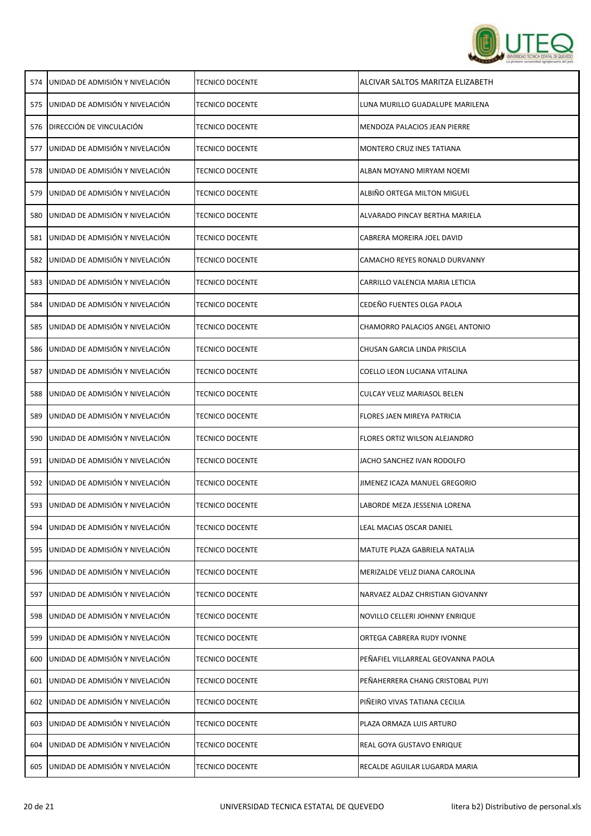

|     | 574 LUNIDAD DE ADMISIÓN Y NIVELACIÓN | <b>TECNICO DOCENTE</b> | ALCIVAR SALTOS MARITZA ELIZABETH       |
|-----|--------------------------------------|------------------------|----------------------------------------|
| 575 | UNIDAD DE ADMISIÓN Y NIVELACIÓN      | <b>TECNICO DOCENTE</b> | LUNA MURILLO GUADALUPE MARILENA        |
| 576 | DIRECCIÓN DE VINCULACIÓN             | TECNICO DOCENTE        | MENDOZA PALACIOS JEAN PIERRE           |
| 577 | UNIDAD DE ADMISIÓN Y NIVELACIÓN      | TECNICO DOCENTE        | MONTERO CRUZ INES TATIANA              |
| 578 | UNIDAD DE ADMISIÓN Y NIVELACIÓN      | <b>TECNICO DOCENTE</b> | ALBAN MOYANO MIRYAM NOEMI              |
| 579 | UNIDAD DE ADMISIÓN Y NIVELACIÓN      | TECNICO DOCENTE        | ALBIÑO ORTEGA MILTON MIGUEL            |
| 580 | UNIDAD DE ADMISIÓN Y NIVELACIÓN      | <b>TECNICO DOCENTE</b> | ALVARADO PINCAY BERTHA MARIELA         |
| 581 | UNIDAD DE ADMISIÓN Y NIVELACIÓN      | <b>TECNICO DOCENTE</b> | CABRERA MOREIRA JOEL DAVID             |
| 582 | UNIDAD DE ADMISIÓN Y NIVELACIÓN      | <b>TECNICO DOCENTE</b> | CAMACHO REYES RONALD DURVANNY          |
| 583 | UNIDAD DE ADMISIÓN Y NIVELACIÓN      | <b>TECNICO DOCENTE</b> | CARRILLO VALENCIA MARIA LETICIA        |
| 584 | UNIDAD DE ADMISIÓN Y NIVELACIÓN      | <b>TECNICO DOCENTE</b> | CEDEÑO FUENTES OLGA PAOLA              |
| 585 | UNIDAD DE ADMISIÓN Y NIVELACIÓN      | TECNICO DOCENTE        | <b>CHAMORRO PALACIOS ANGEL ANTONIO</b> |
| 586 | UNIDAD DE ADMISIÓN Y NIVELACIÓN      | TECNICO DOCENTE        | CHUSAN GARCIA LINDA PRISCILA           |
| 587 | UNIDAD DE ADMISIÓN Y NIVELACIÓN      | TECNICO DOCENTE        | COELLO LEON LUCIANA VITALINA           |
| 588 | UNIDAD DE ADMISIÓN Y NIVELACIÓN      | TECNICO DOCENTE        | CULCAY VELIZ MARIASOL BELEN            |
| 589 | UNIDAD DE ADMISIÓN Y NIVELACIÓN      | TECNICO DOCENTE        | FLORES JAEN MIREYA PATRICIA            |
| 590 | UNIDAD DE ADMISIÓN Y NIVELACIÓN      | TECNICO DOCENTE        | FLORES ORTIZ WILSON ALEJANDRO          |
| 591 | UNIDAD DE ADMISIÓN Y NIVELACIÓN      | <b>TECNICO DOCENTE</b> | JACHO SANCHEZ IVAN RODOLFO             |
| 592 | UNIDAD DE ADMISIÓN Y NIVELACIÓN      | <b>TECNICO DOCENTE</b> | JIMENEZ ICAZA MANUEL GREGORIO          |
| 593 | UNIDAD DE ADMISIÓN Y NIVELACIÓN      | <b>TECNICO DOCENTE</b> | LABORDE MEZA JESSENIA LORENA           |
| 594 | UNIDAD DE ADMISIÓN Y NIVELACIÓN      | <b>TECNICO DOCENTE</b> | LEAL MACIAS OSCAR DANIEL               |
| 595 | UNIDAD DE ADMISIÓN Y NIVELACIÓN      | <b>TECNICO DOCENTE</b> | MATUTE PLAZA GABRIELA NATALIA          |
| 596 | UNIDAD DE ADMISIÓN Y NIVELACIÓN      | <b>TECNICO DOCENTE</b> | MERIZALDE VELIZ DIANA CAROLINA         |
| 597 | UNIDAD DE ADMISIÓN Y NIVELACIÓN      | <b>TECNICO DOCENTE</b> | NARVAEZ ALDAZ CHRISTIAN GIOVANNY       |
| 598 | UNIDAD DE ADMISIÓN Y NIVELACIÓN      | <b>TECNICO DOCENTE</b> | NOVILLO CELLERI JOHNNY ENRIQUE         |
| 599 | UNIDAD DE ADMISIÓN Y NIVELACIÓN      | <b>TECNICO DOCENTE</b> | ORTEGA CABRERA RUDY IVONNE             |
| 600 | UNIDAD DE ADMISIÓN Y NIVELACIÓN      | <b>TECNICO DOCENTE</b> | PEÑAFIEL VILLARREAL GEOVANNA PAOLA     |
| 601 | UNIDAD DE ADMISIÓN Y NIVELACIÓN      | <b>TECNICO DOCENTE</b> | PEÑAHERRERA CHANG CRISTOBAL PUYI       |
| 602 | UNIDAD DE ADMISIÓN Y NIVELACIÓN      | TECNICO DOCENTE        | PIÑEIRO VIVAS TATIANA CECILIA          |
| 603 | UNIDAD DE ADMISIÓN Y NIVELACIÓN      | <b>TECNICO DOCENTE</b> | PLAZA ORMAZA LUIS ARTURO               |
| 604 | UNIDAD DE ADMISIÓN Y NIVELACIÓN      | <b>TECNICO DOCENTE</b> | REAL GOYA GUSTAVO ENRIQUE              |
| 605 | UNIDAD DE ADMISIÓN Y NIVELACIÓN      | <b>TECNICO DOCENTE</b> | RECALDE AGUILAR LUGARDA MARIA          |